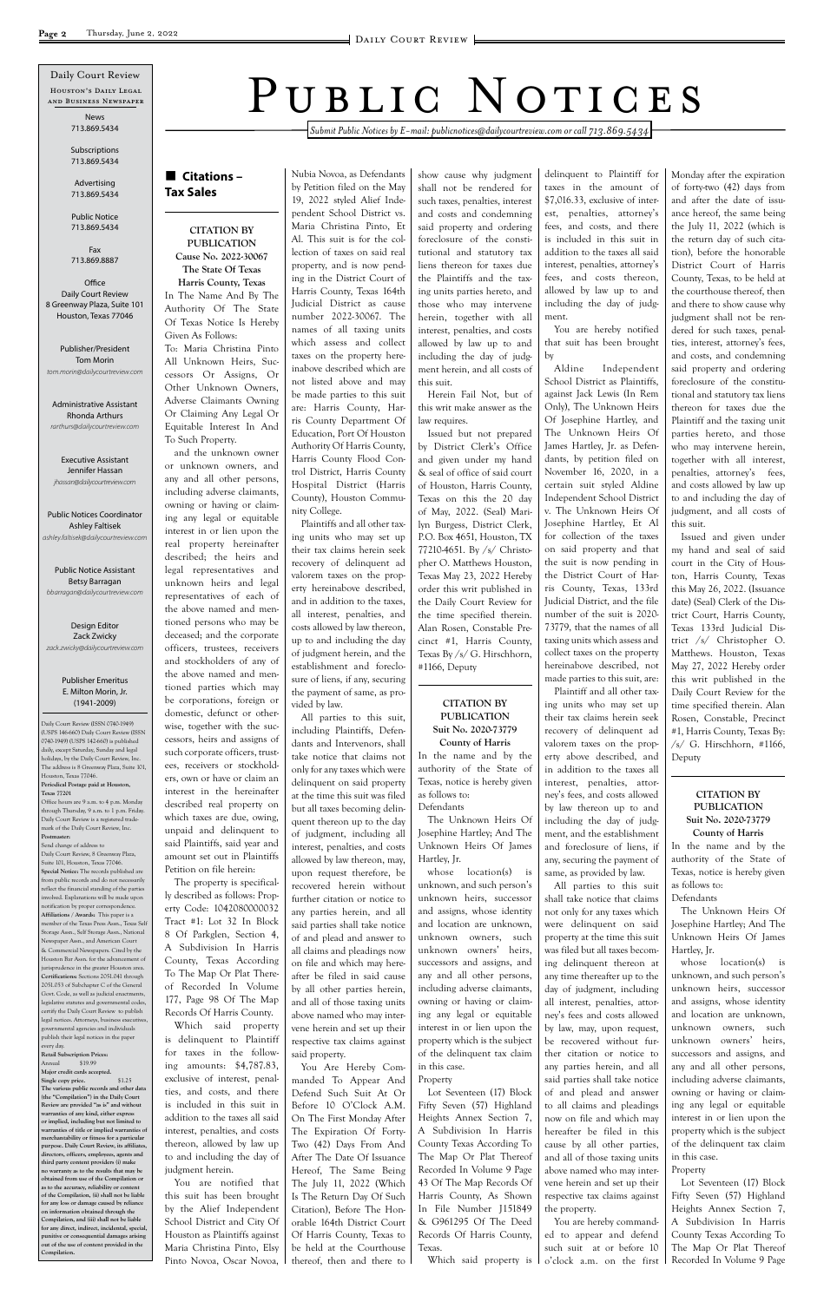*Submit Public Notices by E-mail: publicnotices@dailycourtreview.com or call 713.869.5434*

## n **Citations – Tax Sales**

#### **CITATION BY PUBLICATION Cause No. 2022-30067**

**The State Of Texas Harris County, Texas** In The Name And By The Authority Of The State Of Texas Notice Is Hereby Given As Follows:

To: Maria Christina Pinto All Unknown Heirs, Successors Or Assigns, Or Other Unknown Owners, Adverse Claimants Owning Or Claiming Any Legal Or Equitable Interest In And To Such Property.

and the unknown owner or unknown owners, and any and all other persons, including adverse claimants, owning or having or claiming any legal or equitable interest in or lien upon the real property hereinafter described; the heirs and legal representatives and unknown heirs and legal representatives of each of the above named and mentioned persons who may be deceased; and the corporate officers, trustees, receivers and stockholders of any of the above named and mentioned parties which may be corporations, foreign or domestic, defunct or otherwise, together with the successors, heirs and assigns of such corporate officers, trustees, receivers or stockholders, own or have or claim an interest in the hereinafter described real property on which taxes are due, owing, unpaid and delinquent to said Plaintiffs, said year and amount set out in Plaintiffs Petition on file herein:

The property is specifically described as follows: Property Code: 1042080000032 Tract #1: Lot 32 In Block 8 Of Parkglen, Section 4, A Subdivision In Harris

County, Texas According To The Map Or Plat Thereof Recorded In Volume 177, Page 98 Of The Map Records Of Harris County. Which said property is delinquent to Plaintiff for taxes in the following amounts: \$4,787.83, exclusive of interest, penalties, and costs, and there is included in this suit in addition to the taxes all said interest, penalties, and costs thereon, allowed by law up to and including the day of judgment herein.

You are notified that this suit has been brought by the Alief Independent School District and City Of Houston as Plaintiffs against Maria Christina Pinto, Elsy Pinto Novoa, Oscar Novoa,

Nubia Novoa, as Defendants by Petition filed on the May 19, 2022 styled Alief Independent School District vs. Maria Christina Pinto, Et Al. This suit is for the collection of taxes on said real property, and is now pending in the District Court of Harris County, Texas 164th Judicial District as cause number 2022-30067. The names of all taxing units which assess and collect taxes on the property hereinabove described which are not listed above and may be made parties to this suit are: Harris County, Harris County Department Of Education, Port Of Houston Authority Of Harris County, Harris County Flood Control District, Harris County Hospital District (Harris County), Houston Community College.

> Lot Seventeen (17) Block Fifty Seven (57) Highland Heights Annex Section 7, A Subdivision In Harris County Texas According To The Map Or Plat Thereof Recorded In Volume 9 Page 43 Of The Map Records Of Harris County, As Shown In File Number J151849 & G961295 Of The Deed Records Of Harris County, Texas. Which said property is

Plaintiffs and all other taxing units who may set up their tax claims herein seek recovery of delinquent ad valorem taxes on the property hereinabove described, and in addition to the taxes, all interest, penalties, and costs allowed by law thereon, up to and including the day of judgment herein, and the establishment and foreclosure of liens, if any, securing the payment of same, as provided by law.

All parties to this suit, including Plaintiffs, Defendants and Intervenors, shall take notice that claims not only for any taxes which were delinquent on said property at the time this suit was filed but all taxes becoming delinquent thereon up to the day of judgment, including all interest, penalties, and costs allowed by law thereon, may, upon request therefore, be recovered herein without further citation or notice to any parties herein, and all said parties shall take notice of and plead and answer to all claims and pleadings now

on file and which may hereafter be filed in said cause by all other parties herein, and all of those taxing units above named who may intervene herein and set up their respective tax claims against said property.

You Are Hereby Commanded To Appear And Defend Such Suit At Or Before 10 O'Clock A.M. On The First Monday After The Expiration Of Forty-Two (42) Days From And After The Date Of Issuance Hereof, The Same Being The July 11, 2022 (Which Is The Return Day Of Such Citation), Before The Honorable 164th District Court Of Harris County, Texas to be held at the Courthouse thereof, then and there to show cause why judgment shall not be rendered for such taxes, penalties, interest and costs and condemning said property and ordering foreclosure of the constitutional and statutory tax liens thereon for taxes due the Plaintiffs and the taxing units parties hereto, and those who may intervene herein, together with all interest, penalties, and costs allowed by law up to and including the day of judgment herein, and all costs of this suit.

Herein Fail Not, but of this writ make answer as the law requires.

Issued but not prepared by District Clerk's Office and given under my hand & seal of office of said court of Houston, Harris County, Texas on this the 20 day of May, 2022. (Seal) Marilyn Burgess, District Clerk, P.O. Box 4651, Houston, TX 77210-4651. By /s/ Christopher O. Matthews Houston, Texas May 23, 2022 Hereby order this writ published in the Daily Court Review for the time specified therein. Alan Rosen, Constable Precinct #1, Harris County, Texas By /s/ G. Hirschhorn, #1166, Deputy

#### **CITATION BY PUBLICATION Suit No. 2020-73779 County of Harris**

In the name and by the authority of the State of Texas, notice is hereby given as follows to: Defendants

The Unknown Heirs Of Josephine Hartley; And The Unknown Heirs Of James Hartley, Jr.

whose location(s) is unknown, and such person's unknown heirs, successor and assigns, whose identity and location are unknown, unknown owners, such unknown owners' heirs, successors and assigns, and any and all other persons, including adverse claimants, owning or having or claiming any legal or equitable interest in or lien upon the property which is the subject of the delinquent tax claim in this case.

Property

delinquent to Plaintiff for taxes in the amount of \$7,016.33, exclusive of interest, penalties, attorney's fees, and costs, and there is included in this suit in addition to the taxes all said interest, penalties, attorney's fees, and costs thereon, allowed by law up to and including the day of judgment.

**Office** Daily Court Review 8 Greenway Plaza, Suite 101 Houston, Texas 77046

> You are hereby notified that suit has been brought by

Aldine Independent School District as Plaintiffs, against Jack Lewis (In Rem Only), The Unknown Heirs Of Josephine Hartley, and The Unknown Heirs Of James Hartley, Jr. as Defendants, by petition filed on November 16, 2020, in a certain suit styled Aldine Independent School District v. The Unknown Heirs Of Josephine Hartley, Et Al for collection of the taxes on said property and that the suit is now pending in the District Court of Harris County, Texas, 133rd Judicial District, and the file number of the suit is 2020- 73779, that the names of all taxing units which assess and collect taxes on the property hereinabove described, not made parties to this suit, are:

Plaintiff and all other taxing units who may set up their tax claims herein seek recovery of delinquent ad valorem taxes on the property above described, and in addition to the taxes all interest, penalties, attorney's fees, and costs allowed by law thereon up to and including the day of judgment, and the establishment and foreclosure of liens, if any, securing the payment of same, as provided by law.

All parties to this suit shall take notice that claims not only for any taxes which were delinquent on said property at the time this suit was filed but all taxes becoming delinquent thereon at any time thereafter up to the day of judgment, including all interest, penalties, attorney's fees and costs allowed by law, may, upon request, be recovered without further citation or notice to any parties herein, and all said parties shall take notice of and plead and answer to all claims and pleadings now on file and which may hereafter be filed in this cause by all other parties, and all of those taxing units above named who may intervene herein and set up their respective tax claims against the property.

You are hereby commanded to appear and defend such suit at or before 10 o'clock a.m. on the first Monday after the expiration of forty-two (42) days from and after the date of issuance hereof, the same being the July 11, 2022 (which is the return day of such citation), before the honorable District Court of Harris County, Texas, to be held at the courthouse thereof, then and there to show cause why judgment shall not be rendered for such taxes, penalties, interest, attorney's fees, and costs, and condemning said property and ordering foreclosure of the constitutional and statutory tax liens thereon for taxes due the Plaintiff and the taxing unit parties hereto, and those who may intervene herein, together with all interest, penalties, attorney's fees, and costs allowed by law up to and including the day of judgment, and all costs of this suit.

Issued and given under my hand and seal of said court in the City of Houston, Harris County, Texas this May 26, 2022. (Issuance date) (Seal) Clerk of the District Court, Harris County, Texas 133rd Judicial District /s/ Christopher O. Matthews. Houston, Texas May 27, 2022 Hereby order this writ published in the Daily Court Review for the time specified therein. Alan Rosen, Constable, Precinct #1, Harris County, Texas By:  $/s/ G.$  Hirschhorn, #1166, Deputy

#### **CITATION BY PUBLICATION Suit No. 2020-73779 County of Harris**

In the name and by the authority of the State of Texas, notice is hereby given as follows to: Defendants

The Unknown Heirs Of Josephine Hartley; And The Unknown Heirs Of James Hartley, Jr. whose location(s) is unknown, and such person's unknown heirs, successor and assigns, whose identity and location are unknown, unknown owners, such unknown owners' heirs, successors and assigns, and any and all other persons, including adverse claimants, owning or having or claiming any legal or equitable interest in or lien upon the property which is the subject of the delinquent tax claim in this case.

#### Property

Lot Seventeen (17) Block Fifty Seven (57) Highland Heights Annex Section 7, A Subdivision In Harris County Texas According To The Map Or Plat Thereof Recorded In Volume 9 Page

Daily Court Review (ISSN 0740-1949) (USPS 146-660) Daily Court Review (ISSN 0740-1949) (USPS 142-660) is published daily, except Saturday, Sunday and legal holidays, by the Daily Court Review, Inc. The address is 8 Greenway Plaza, Suite 101, Houston, Texas 77046. **Periodical Postage paid at Houston, Texas 77201** Office hours are 9 a.m. to 4 p.m. Monday

through Thursday, 9 a.m. to 1 p.m. Friday. Daily Court Review is a registered trademark of the Daily Court Review, Inc. **Postmaster:**

Send change of address to Daily Court Review, 8 Greenway Plaza, Suite 101, Houston, Texas 77046. **Special Notice:** The records published are from public records and do not necessarily reflect the financial standing of the parties involved. Explanations will be made upon notification by proper correspondence. **Affiliations / Awards:** This paper is a member of the Texas Press Assn., Texas Self Storage Assn., Self Storage Assn., National Newspaper Assn., and American Court & Commercial Newspapers. Cited by the

PUBLIC NOTICES

Houston's Daily Legal and Business Newspaper Daily Court Review

Houston Bar Assn. for the advancement of urisprudence in the greater Houston area. **Certifications:** Sections 2051.041 through 2051.053 of Subchapter C of the General Govt. Code, as well as judicial enactments, legislative statutes and governmental codes, certify the Daily Court Review to publish legal notices. Attorneys, business executive governmental agencies and individuals publish their legal notices in the paper every day. **Retail Subscription Prices:** Annual \$19.99

**Major credit cards accepted. Single copy price.** \$1.25 **The various public records and other data (the "Compilation") in the Daily Court Review are provided "as is" and without warranties of any kind, either express or implied, including but not limited to warranties of title or implied warranties of merchantability or fitness for a particular purpose. Daily Court Review, its affiliates, directors, officers, employees, agents and third party content providers (i) make no warranty as to the results that may be obtained from use of the Compilation or**  as to the accuracy, reliability or content *as to the accuracy*, reliability or cont **of the Compilation, (ii) shall not be liable for any loss or damage caused by reliance on information obtained through the Compilation, and (iii) shall not be liable for any direct, indirect, incidental, special, punitive or consequential damages arising out of the use of content provided in the Compilation.**

News 713.869.5434

Subscriptions 713.869.5434

Advertising 713.869.5434

Public Notice 713.869.5434

Fax 713.869.8887

Publisher/President Tom Morin *tom.morin@dailycourtreview.com*

Administrative Assistant Rhonda Arthurs *rarthurs@dailycourtreview.com*

Executive Assistant Jennifer Hassan *jhassan@dailycourtreview.com*

Public Notices Coordinator Ashley Faltisek *ashley.faltisek@dailycourtreview.com*

Public Notice Assistant Betsy Barragan *bbarragan@dailycourtreview.com*

Design Editor Zack Zwicky *zack.zwicky@dailycourtreview.com*

#### Publisher Emeritus E. Milton Morin, Jr. (1941-2009)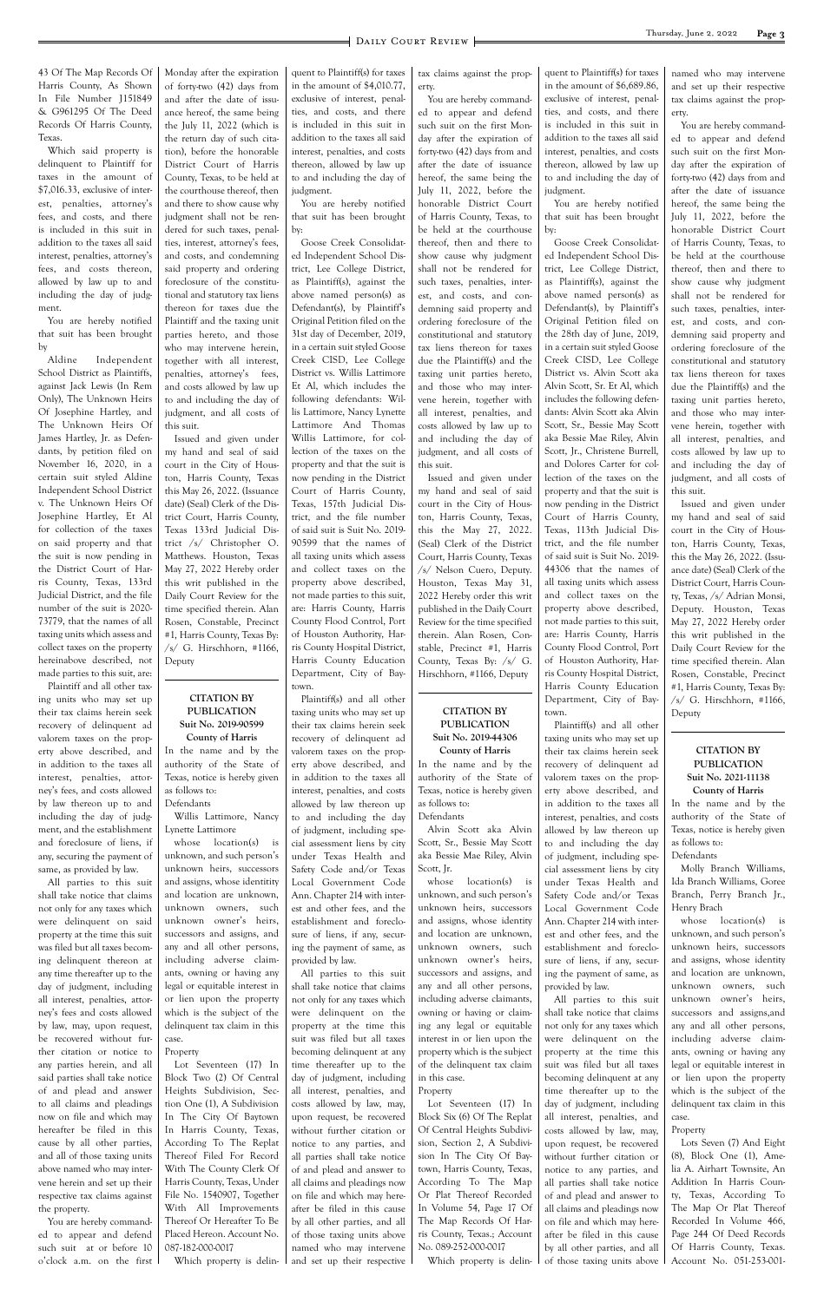43 Of The Map Records Of Harris County, As Shown In File Number J151849 & G961295 Of The Deed Records Of Harris County, Texas.

Which said property is delinquent to Plaintiff for taxes in the amount of \$7,016.33, exclusive of interest, penalties, attorney's fees, and costs, and there is included in this suit in addition to the taxes all said interest, penalties, attorney's fees, and costs thereon, allowed by law up to and including the day of judgment.

You are hereby notified that suit has been brought by

Aldine Independent School District as Plaintiffs, against Jack Lewis (In Rem Only), The Unknown Heirs Of Josephine Hartley, and The Unknown Heirs Of James Hartley, Jr. as Defendants, by petition filed on November 16, 2020, in a certain suit styled Aldine Independent School District v. The Unknown Heirs Of Josephine Hartley, Et Al for collection of the taxes on said property and that the suit is now pending in the District Court of Harris County, Texas, 133rd Judicial District, and the file number of the suit is 2020- 73779, that the names of all taxing units which assess and collect taxes on the property hereinabove described, not made parties to this suit, are:

Plaintiff and all other taxing units who may set up their tax claims herein seek recovery of delinquent ad valorem taxes on the property above described, and in addition to the taxes all interest, penalties, attorney's fees, and costs allowed by law thereon up to and including the day of judgment, and the establishment and foreclosure of liens, if any, securing the payment of same, as provided by law.

All parties to this suit shall take notice that claims not only for any taxes which were delinquent on said property at the time this suit was filed but all taxes becoming delinquent thereon at any time thereafter up to the day of judgment, including all interest, penalties, attorney's fees and costs allowed by law, may, upon request, be recovered without further citation or notice to any parties herein, and all said parties shall take notice of and plead and answer to all claims and pleadings now on file and which may hereafter be filed in this cause by all other parties, and all of those taxing units above named who may intervene herein and set up their respective tax claims against the property. You are hereby commanded to appear and defend such suit at or before 10 o'clock a.m. on the first

whose location(s) is unknown, and such person's unknown heirs, successors and assigns, whose identitity and location are unknown, unknown owners, such unknown owner's heirs, successors and assigns, and any and all other persons, including adverse claimants, owning or having any legal or equitable interest in or lien upon the property which is the subject of the delinquent tax claim in this case.

Monday after the expiration of forty-two (42) days from and after the date of issuance hereof, the same being the July 11, 2022 (which is the return day of such citation), before the honorable District Court of Harris County, Texas, to be held at the courthouse thereof, then and there to show cause why judgment shall not be rendered for such taxes, penalties, interest, attorney's fees, and costs, and condemning said property and ordering foreclosure of the constitutional and statutory tax liens thereon for taxes due the Plaintiff and the taxing unit parties hereto, and those who may intervene herein, together with all interest,

penalties, attorney's fees, and costs allowed by law up to and including the day of judgment, and all costs of this suit. Issued and given under

my hand and seal of said court in the City of Houston, Harris County, Texas this May 26, 2022. (Issuance date) (Seal) Clerk of the District Court, Harris County, Texas 133rd Judicial District /s/ Christopher O. Matthews. Houston, Texas May 27, 2022 Hereby order this writ published in the Daily Court Review for the time specified therein. Alan Rosen, Constable, Precinct #1, Harris County, Texas By:  $\sqrt{s}$  G. Hirschhorn, #1166, Deputy

#### **CITATION BY PUBLICATION Suit No. 2019-90599 County of Harris**

In the name and by the authority of the State of Texas, notice is hereby given as follows to: Defendants

Willis Lattimore, Nancy Lynette Lattimore

#### Property

whose location(s) is unknown, and such person's unknown heirs, successors and assigns, whose identity and location are unknown, unknown owners, such unknown owner's heirs, successors and assigns, and any and all other persons, including adverse claimants, owning or having or claiming any legal or equitable interest in or lien upon the property which is the subject

Lot Seventeen (17) In Block Two (2) Of Central Heights Subdivision, Section One (1), A Subdivision In The City Of Baytown In Harris County, Texas, According To The Replat Thereof Filed For Record With The County Clerk Of Harris County, Texas, Under File No. 1540907, Together With All Improvements Thereof Or Hereafter To Be Placed Hereon. Account No. 087-182-000-0017 Which property is delin-

quent to Plaintiff(s) for taxes in the amount of \$4,010.77, exclusive of interest, penalties, and costs, and there is included in this suit in addition to the taxes all said interest, penalties, and costs thereon, allowed by law up to and including the day of judgment.

You are hereby notified that suit has been brought by:

Goose Creek Consolidated Independent School District, Lee College District, as Plaintiff(s), against the above named person(s) as Defendant(s), by Plaintiff's Original Petition filed on the 31st day of December, 2019, in a certain suit styled Goose Creek CISD, Lee College District vs. Willis Lattimore Et Al, which includes the following defendants: Willis Lattimore, Nancy Lynette Lattimore And Thomas Willis Lattimore, for collection of the taxes on the property and that the suit is now pending in the District Court of Harris County, Texas, 157th Judicial District, and the file number of said suit is Suit No. 2019- 90599 that the names of all taxing units which assess and collect taxes on the property above described, not made parties to this suit, are: Harris County, Harris County Flood Control, Port of Houston Authority, Harris County Hospital District, Harris County Education Department, City of Baytown.

Plaintiff(s) and all other taxing units who may set up their tax claims herein seek recovery of delinquent ad valorem taxes on the property above described, and in addition to the taxes all interest, penalties, and costs allowed by law thereon up to and including the day of judgment, including special assessment liens by city under Texas Health and Safety Code and/or Texas Local Government Code Ann. Chapter 214 with interest and other fees, and the establishment and foreclosure of liens, if any, securing the payment of same, as

provided by law.

All parties to this suit shall take notice that claims not only for any taxes which were delinquent on the property at the time this suit was filed but all taxes becoming delinquent at any time thereafter up to the day of judgment, including all interest, penalties, and costs allowed by law, may, upon request, be recovered without further citation or notice to any parties, and all parties shall take notice of and plead and answer to all claims and pleadings now on file and which may hereafter be filed in this cause by all other parties, and all of those taxing units above named who may intervene and set up their respective

tax claims against the property.

You are hereby commanded to appear and defend such suit on the first Monday after the expiration of forty-two (42) days from and after the date of issuance hereof, the same being the July 11, 2022, before the honorable District Court of Harris County, Texas, to be held at the courthouse thereof, then and there to show cause why judgment shall not be rendered for such taxes, penalties, interest, and costs, and condemning said property and ordering foreclosure of the constitutional and statutory tax liens thereon for taxes due the Plaintiff(s) and the taxing unit parties hereto, and those who may intervene herein, together with all interest, penalties, and costs allowed by law up to and including the day of judgment, and all costs of this suit.

Issued and given under my hand and seal of said court in the City of Houston, Harris County, Texas, this the May 27, 2022. (Seal) Clerk of the District Court, Harris County, Texas /s/ Nelson Cuero, Deputy. Houston, Texas May 31, 2022 Hereby order this writ published in the Daily Court Review for the time specified therein. Alan Rosen, Constable, Precinct #1, Harris County, Texas By: /s/ G. Hirschhorn, #1166, Deputy

## **CITATION BY PUBLICATION Suit No. 2019-44306**

**County of Harris** In the name and by the authority of the State of Texas, notice is hereby given as follows to: Defendants

Alvin Scott aka Alvin Scott, Sr., Bessie May Scott aka Bessie Mae Riley, Alvin Scott, Jr.

of the delinquent tax claim in this case. Property Lot Seventeen (17) In Block Six (6) Of The Replat Of Central Heights Subdivision, Section 2, A Subdivision In The City Of Baytown, Harris County, Texas, According To The Map Or Plat Thereof Recorded In Volume 54, Page 17 Of The Map Records Of Harris County, Texas.; Account No. 089-252-000-0017 Which property is delin-

quent to Plaintiff(s) for taxes in the amount of \$6,689.86, exclusive of interest, penalties, and costs, and there is included in this suit in addition to the taxes all said interest, penalties, and costs thereon, allowed by law up to and including the day of judgment.

You are hereby notified that suit has been brought by:

Goose Creek Consolidated Independent School District, Lee College District, as Plaintiff(s), against the above named person(s) as Defendant(s), by Plaintiff's Original Petition filed on the 28th day of June, 2019, in a certain suit styled Goose Creek CISD, Lee College District vs. Alvin Scott aka Alvin Scott, Sr. Et Al, which includes the following defendants: Alvin Scott aka Alvin Scott, Sr., Bessie May Scott aka Bessie Mae Riley, Alvin Scott, Jr., Christene Burrell, and Dolores Carter for collection of the taxes on the property and that the suit is now pending in the District Court of Harris County, Texas, 113th Judicial District, and the file number of said suit is Suit No. 2019- 44306 that the names of all taxing units which assess and collect taxes on the property above described, not made parties to this suit, are: Harris County, Harris County Flood Control, Port of Houston Authority, Harris County Hospital District, Harris County Education Department, City of Baytown.

Plaintiff(s) and all other taxing units who may set up their tax claims herein seek recovery of delinquent ad valorem taxes on the property above described, and in addition to the taxes all interest, penalties, and costs allowed by law thereon up to and including the day of judgment, including special assessment liens by city under Texas Health and Safety Code and/or Texas Local Government Code Ann. Chapter 214 with interest and other fees, and the establishment and foreclosure of liens, if any, securing the payment of same, as provided by law. All parties to this suit shall take notice that claims not only for any taxes which were delinquent on the property at the time this suit was filed but all taxes becoming delinquent at any time thereafter up to the day of judgment, including all interest, penalties, and costs allowed by law, may, upon request, be recovered without further citation or notice to any parties, and all parties shall take notice of and plead and answer to all claims and pleadings now on file and which may hereafter be filed in this cause by all other parties, and all of those taxing units above

named who may intervene and set up their respective tax claims against the property.

You are hereby commanded to appear and defend such suit on the first Monday after the expiration of forty-two (42) days from and after the date of issuance hereof, the same being the July 11, 2022, before the honorable District Court of Harris County, Texas, to be held at the courthouse thereof, then and there to show cause why judgment shall not be rendered for such taxes, penalties, interest, and costs, and condemning said property and ordering foreclosure of the constitutional and statutory tax liens thereon for taxes due the Plaintiff(s) and the taxing unit parties hereto, and those who may intervene herein, together with all interest, penalties, and costs allowed by law up to and including the day of judgment, and all costs of this suit.

Issued and given under my hand and seal of said court in the City of Houston, Harris County, Texas, this the May 26, 2022. (Issuance date) (Seal) Clerk of the District Court, Harris County, Texas, /s/ Adrian Monsi, Deputy. Houston, Texas May 27, 2022 Hereby order this writ published in the Daily Court Review for the time specified therein. Alan Rosen, Constable, Precinct #1, Harris County, Texas By: /s/ G. Hirschhorn, #1166, Deputy

#### **CITATION BY PUBLICATION Suit No. 2021-11138 County of Harris**

In the name and by the authority of the State of Texas, notice is hereby given as follows to: Defendants

Molly Branch Williams, Ida Branch Williams, Goree Branch, Perry Branch Jr., Henry Brach

whose location(s) is unknown, and such person's unknown heirs, successors

and assigns, whose identity and location are unknown, unknown owners, such unknown owner's heirs, successors and assigns,and any and all other persons, including adverse claimants, owning or having any legal or equitable interest in or lien upon the property which is the subject of the delinquent tax claim in this case.

#### Property

Lots Seven (7) And Eight (8), Block One (1), Amelia A. Airhart Townsite, An Addition In Harris County, Texas, According To The Map Or Plat Thereof Recorded In Volume 466, Page 244 Of Deed Records Of Harris County, Texas. Account No. 051-253-001-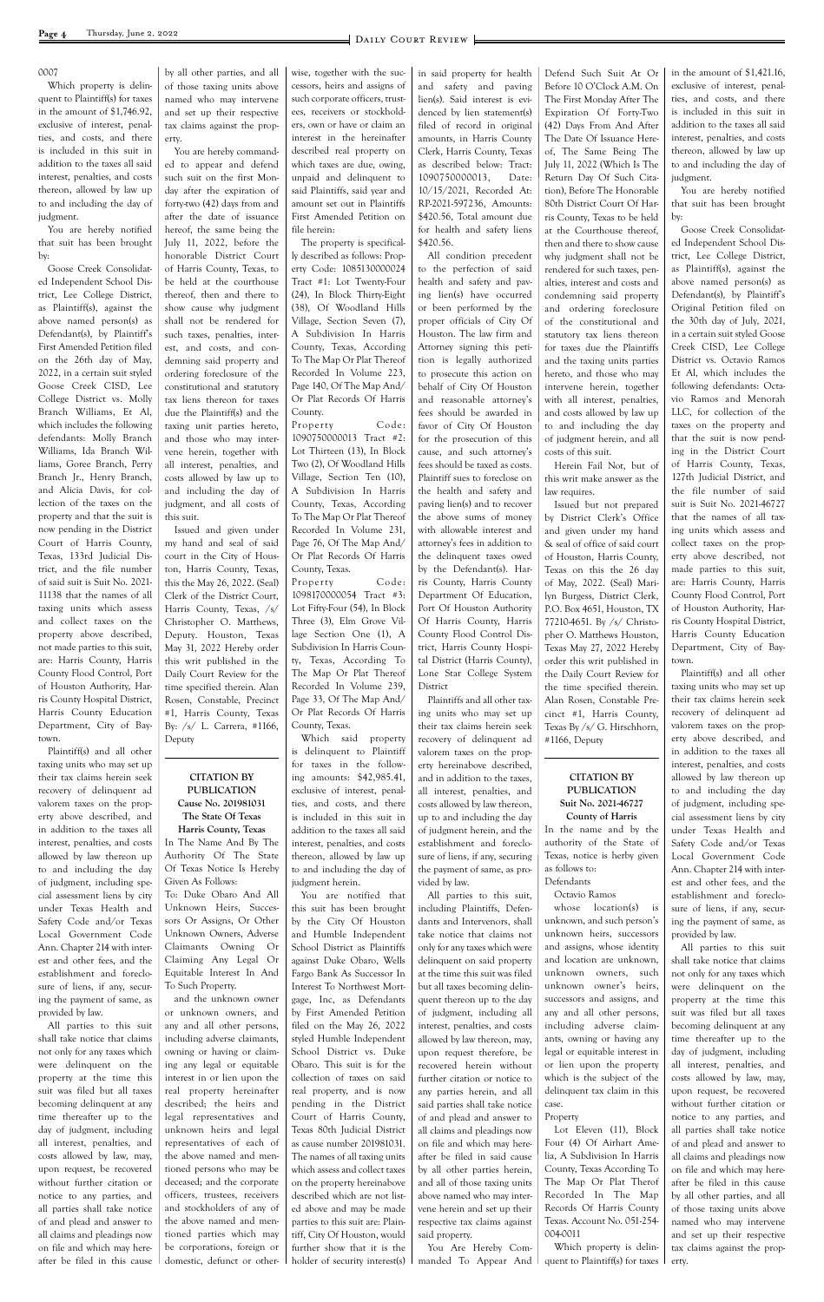#### 0007

Which property is delinquent to Plaintiff(s) for taxes in the amount of \$1,746.92, exclusive of interest, penalties, and costs, and there is included in this suit in addition to the taxes all said interest, penalties, and costs thereon, allowed by law up to and including the day of judgment.

You are hereby notified that suit has been brought by:

Goose Creek Consolidated Independent School District, Lee College District, as Plaintiff(s), against the above named person(s) as Defendant(s), by Plaintiff's First Amended Petition filed on the 26th day of May, 2022, in a certain suit styled Goose Creek CISD, Lee College District vs. Molly Branch Williams, Et Al, which includes the following defendants: Molly Branch Williams, Ida Branch Williams, Goree Branch, Perry Branch Jr., Henry Branch, and Alicia Davis, for collection of the taxes on the property and that the suit is now pending in the District Court of Harris County, Texas, 133rd Judicial District, and the file number of said suit is Suit No. 2021- 11138 that the names of all taxing units which assess and collect taxes on the property above described, not made parties to this suit, are: Harris County, Harris County Flood Control, Port of Houston Authority, Harris County Hospital District, Harris County Education Department, City of Baytown.

Plaintiff(s) and all other taxing units who may set up their tax claims herein seek recovery of delinquent ad valorem taxes on the property above described, and in addition to the taxes all interest, penalties, and costs allowed by law thereon up to and including the day of judgment, including special assessment liens by city under Texas Health and Safety Code and/or Texas Local Government Code Ann. Chapter 214 with interest and other fees, and the establishment and foreclosure of liens, if any, securing the payment of same, as provided by law. All parties to this suit shall take notice that claims not only for any taxes which were delinquent on the property at the time this suit was filed but all taxes becoming delinquent at any time thereafter up to the day of judgment, including all interest, penalties, and costs allowed by law, may, upon request, be recovered without further citation or notice to any parties, and all parties shall take notice of and plead and answer to all claims and pleadings now on file and which may hereafter be filed in this cause

by all other parties, and all of those taxing units above named who may intervene and set up their respective tax claims against the property.

> Property Code: 1090750000013 Tract #2: Lot Thirteen (13), In Block Two (2), Of Woodland Hills Village, Section Ten (10), A Subdivision In Harris County, Texas, According To The Map Or Plat Thereof Recorded In Volume 231, Page 76, Of The Map And/ Or Plat Records Of Harris County, Texas.

You are hereby commanded to appear and defend such suit on the first Monday after the expiration of forty-two (42) days from and after the date of issuance hereof, the same being the July 11, 2022, before the honorable District Court of Harris County, Texas, to be held at the courthouse thereof, then and there to show cause why judgment shall not be rendered for such taxes, penalties, interest, and costs, and condemning said property and ordering foreclosure of the constitutional and statutory tax liens thereon for taxes due the Plaintiff(s) and the taxing unit parties hereto, and those who may intervene herein, together with all interest, penalties, and costs allowed by law up to and including the day of judgment, and all costs of this suit.

> Property Code: 1098170000054 Tract #3: Lot Fifty-Four (54), In Block Three (3), Elm Grove Village Section One (1), A Subdivision In Harris County, Texas, According To The Map Or Plat Thereof Recorded In Volume 239, Page 33, Of The Map And/ Or Plat Records Of Harris County, Texas.

Issued and given under my hand and seal of said court in the City of Houston, Harris County, Texas, this the May 26, 2022. (Seal) Clerk of the District Court, Harris County, Texas, /s/ Christopher O. Matthews, Deputy. Houston, Texas May 31, 2022 Hereby order this writ published in the Daily Court Review for the time specified therein. Alan Rosen, Constable, Precinct #1, Harris County, Texas By: /s/ L. Carrera, #1166, Deputy

#### **CITATION BY PUBLICATION Cause No. 201981031 The State Of Texas**

**Harris County, Texas** In The Name And By The Authority Of The State Of Texas Notice Is Hereby Given As Follows:

To: Duke Obaro And All Unknown Heirs, Successors Or Assigns, Or Other Unknown Owners, Adverse Claimants Owning Or Claiming Any Legal Or Equitable Interest In And To Such Property. and the unknown owner or unknown owners, and any and all other persons, including adverse claimants, owning or having or claiming any legal or equitable interest in or lien upon the real property hereinafter described; the heirs and legal representatives and unknown heirs and legal representatives of each of the above named and mentioned persons who may be deceased; and the corporate officers, trustees, receivers and stockholders of any of the above named and mentioned parties which may be corporations, foreign or domestic, defunct or other-

wise, together with the successors, heirs and assigns of such corporate officers, trustees, receivers or stockholders, own or have or claim an interest in the hereinafter described real property on which taxes are due, owing, unpaid and delinquent to said Plaintiffs, said year and amount set out in Plaintiffs First Amended Petition on file herein: The property is specifical-

ly described as follows: Property Code: 1085130000024 Tract #1: Lot Twenty-Four (24), In Block Thirty-Eight (38), Of Woodland Hills Village, Section Seven (7), A Subdivision In Harris County, Texas, According To The Map Or Plat Thereof Recorded In Volume 223, Page 140, Of The Map And/ Or Plat Records Of Harris County.

Which said property is delinquent to Plaintiff for taxes in the following amounts: \$42,985.41, exclusive of interest, penalties, and costs, and there is included in this suit in addition to the taxes all said interest, penalties, and costs thereon, allowed by law up to and including the day of judgment herein.

You are notified that this suit has been brought by the City Of Houston and Humble Independent School District as Plaintiffs against Duke Obaro, Wells Fargo Bank As Successor In Interest To Northwest Mortgage, Inc, as Defendants by First Amended Petition filed on the May 26, 2022 styled Humble Independent School District vs. Duke Obaro. This suit is for the collection of taxes on said real property, and is now pending in the District Court of Harris County, Texas 80th Judicial District as cause number 201981031. The names of all taxing units which assess and collect taxes on the property hereinabove described which are not listed above and may be made parties to this suit are: Plaintiff, City Of Houston, would further show that it is the holder of security interest(s)

in said property for health and safety and paving lien(s). Said interest is evidenced by lien statement(s) filed of record in original amounts, in Harris County Clerk, Harris County, Texas as described below: Tract: 1090750000013, Date: 10/15/2021, Recorded At: RP-2021-597236, Amounts: \$420.56, Total amount due for health and safety liens \$420.56.

All condition precedent to the perfection of said health and safety and paving lien(s) have occurred or been performed by the proper officials of City Of Houston. The law firm and Attorney signing this petition is legally authorized to prosecute this action on behalf of City Of Houston and reasonable attorney's fees should be awarded in favor of City Of Houston for the prosecution of this cause, and such attorney's fees should be taxed as costs. Plaintiff sues to foreclose on the health and safety and paving lien(s) and to recover the above sums of money with allowable interest and attorney's fees in addition to the delinquent taxes owed by the Defendant(s). Harris County, Harris County Department Of Education, Port Of Houston Authority Of Harris County, Harris County Flood Control District, Harris County Hospital District (Harris County), Lone Star College System District

Plaintiffs and all other taxing units who may set up their tax claims herein seek recovery of delinquent ad valorem taxes on the property hereinabove described, and in addition to the taxes, all interest, penalties, and costs allowed by law thereon, up to and including the day of judgment herein, and the establishment and foreclosure of liens, if any, securing the payment of same, as provided by law.

All parties to this suit, including Plaintiffs, Defendants and Intervenors, shall take notice that claims not only for any taxes which were delinquent on said property at the time this suit was filed but all taxes becoming delinquent thereon up to the day of judgment, including all interest, penalties, and costs allowed by law thereon, may, upon request therefore, be recovered herein without further citation or notice to any parties herein, and all said parties shall take notice of and plead and answer to all claims and pleadings now on file and which may hereafter be filed in said cause by all other parties herein, and all of those taxing units above named who may intervene herein and set up their respective tax claims against said property. You Are Hereby Commanded To Appear And

Defend Such Suit At Or Before 10 O'Clock A.M. On The First Monday After The Expiration Of Forty-Two (42) Days From And After The Date Of Issuance Hereof, The Same Being The July 11, 2022 (Which Is The Return Day Of Such Citation), Before The Honorable 80th District Court Of Harris County, Texas to be held at the Courthouse thereof, then and there to show cause why judgment shall not be rendered for such taxes, penalties, interest and costs and condemning said property and ordering foreclosure of the constitutional and statutory tax liens thereon for taxes due the Plaintiffs and the taxing units parties hereto, and those who may intervene herein, together with all interest, penalties, and costs allowed by law up to and including the day of judgment herein, and all costs of this suit. Herein Fail Not, but of

this writ make answer as the law requires.

Issued but not prepared by District Clerk's Office and given under my hand & seal of office of said court of Houston, Harris County, Texas on this the 26 day of May, 2022. (Seal) Marilyn Burgess, District Clerk, P.O. Box 4651, Houston, TX 77210-4651. By /s/ Christopher O. Matthews Houston, Texas May 27, 2022 Hereby order this writ published in the Daily Court Review for the time specified therein. Alan Rosen, Constable Precinct #1, Harris County, Texas By /s/ G. Hirschhorn, #1166, Deputy

#### **CITATION BY PUBLICATION Suit No. 2021-46727 County of Harris**

In the name and by the authority of the State of Texas, notice is herby given as follows to:

#### Defendants Octavio Ramos

whose location(s) is unknown, and such person's unknown heirs, successors and assigns, whose identity and location are unknown, unknown owners, such unknown owner's heirs, successors and assigns, and any and all other persons, including adverse claimants, owning or having any legal or equitable interest in or lien upon the property which is the subject of the delinquent tax claim in this case.

#### Property

Lot Eleven (11), Block Four (4) Of Airhart Amelia, A Subdivision In Harris County, Texas According To The Map Or Plat Therof Recorded In The Map Records Of Harris County Texas. Account No. 051-254- 004-0011

Which property is delinquent to Plaintiff(s) for taxes

in the amount of \$1,421.16, exclusive of interest, penalties, and costs, and there is included in this suit in addition to the taxes all said interest, penalties, and costs thereon, allowed by law up to and including the day of judgment.

You are hereby notified that suit has been brought by:

Goose Creek Consolidated Independent School District, Lee College District, as Plaintiff(s), against the above named person(s) as Defendant(s), by Plaintiff's Original Petition filed on the 30th day of July, 2021, in a certain suit styled Goose Creek CISD, Lee College District vs. Octavio Ramos Et Al, which includes the following defendants: Octavio Ramos and Menorah LLC, for collection of the taxes on the property and that the suit is now pending in the District Court of Harris County, Texas, 127th Judicial District, and the file number of said suit is Suit No. 2021-46727 that the names of all taxing units which assess and collect taxes on the property above described, not made parties to this suit, are: Harris County, Harris County Flood Control, Port of Houston Authority, Harris County Hospital District, Harris County Education Department, City of Baytown.

Plaintiff(s) and all other taxing units who may set up their tax claims herein seek recovery of delinquent ad valorem taxes on the property above described, and in addition to the taxes all interest, penalties, and costs allowed by law thereon up to and including the day of judgment, including special assessment liens by city under Texas Health and Safety Code and/or Texas Local Government Code Ann. Chapter 214 with interest and other fees, and the establishment and foreclosure of liens, if any, securing the payment of same, as provided by law.

All parties to this suit

shall take notice that claims not only for any taxes which were delinquent on the property at the time this suit was filed but all taxes becoming delinquent at any time thereafter up to the day of judgment, including all interest, penalties, and costs allowed by law, may, upon request, be recovered without further citation or notice to any parties, and all parties shall take notice of and plead and answer to all claims and pleadings now on file and which may hereafter be filed in this cause by all other parties, and all of those taxing units above named who may intervene and set up their respective tax claims against the property.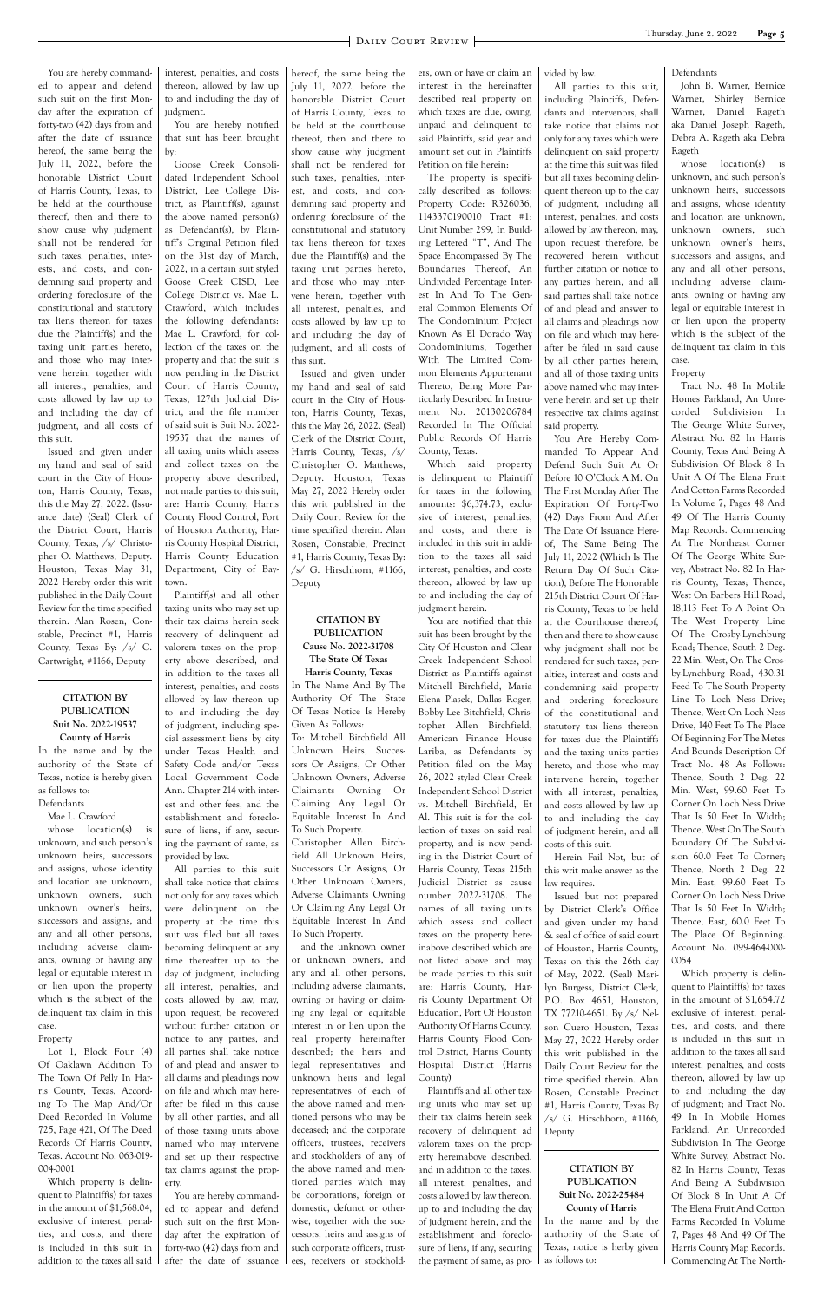You are hereby commanded to appear and defend such suit on the first Monday after the expiration of forty-two (42) days from and after the date of issuance hereof, the same being the July 11, 2022, before the honorable District Court of Harris County, Texas, to be held at the courthouse thereof, then and there to show cause why judgment shall not be rendered for such taxes, penalties, interests, and costs, and condemning said property and ordering foreclosure of the constitutional and statutory tax liens thereon for taxes due the Plaintiff(s) and the taxing unit parties hereto, and those who may intervene herein, together with all interest, penalties, and costs allowed by law up to and including the day of judgment, and all costs of this suit.

Issued and given under my hand and seal of said court in the City of Houston, Harris County, Texas, this the May 27, 2022. (Issuance date) (Seal) Clerk of the District Court, Harris County, Texas, /s/ Christopher O. Matthews, Deputy. Houston, Texas May 31, 2022 Hereby order this writ published in the Daily Court Review for the time specified therein. Alan Rosen, Constable, Precinct #1, Harris County, Texas By: /s/ C. Cartwright, #1166, Deputy

### **CITATION BY PUBLICATION Suit No. 2022-19537**

**County of Harris** In the name and by the authority of the State of Texas, notice is hereby given as follows to:

## Defendants

Mae L. Crawford whose location(s) is unknown, and such person's unknown heirs, successors and assigns, whose identity and location are unknown, unknown owners, such unknown owner's heirs, successors and assigns, and any and all other persons, including adverse claim-

ants, owning or having any legal or equitable interest in or lien upon the property which is the subject of the delinquent tax claim in this case.

#### Property

Lot 1, Block Four (4) Of Oaklawn Addition To The Town Of Pelly In Harris County, Texas, According To The Map And/Or Deed Recorded In Volume 725, Page 421, Of The Deed Records Of Harris County, Texas. Account No. 063-019- 004-0001

Which property is delinquent to Plaintiff(s) for taxes in the amount of \$1,568.04, exclusive of interest, penalties, and costs, and there is included in this suit in addition to the taxes all said interest, penalties, and costs thereon, allowed by law up to and including the day of judgment.

You are hereby notified that suit has been brought by:

Goose Creek Consolidated Independent School District, Lee College District, as Plaintiff(s), against the above named person(s) as Defendant(s), by Plaintiff's Original Petition filed on the 31st day of March, 2022, in a certain suit styled Goose Creek CISD, Lee College District vs. Mae L. Crawford, which includes the following defendants: Mae L. Crawford, for collection of the taxes on the property and that the suit is now pending in the District Court of Harris County, Texas, 127th Judicial District, and the file number of said suit is Suit No. 2022- 19537 that the names of all taxing units which assess and collect taxes on the property above described, not made parties to this suit, are: Harris County, Harris County Flood Control, Port of Houston Authority, Harris County Hospital District, Harris County Education Department, City of Baytown.

Plaintiff(s) and all other taxing units who may set up their tax claims herein seek recovery of delinquent ad valorem taxes on the property above described, and in addition to the taxes all interest, penalties, and costs allowed by law thereon up to and including the day of judgment, including special assessment liens by city under Texas Health and Safety Code and/or Texas Local Government Code Ann. Chapter 214 with interest and other fees, and the establishment and foreclosure of liens, if any, securing the payment of same, as provided by law.

All parties to this suit shall take notice that claims not only for any taxes which were delinquent on the property at the time this suit was filed but all taxes becoming delinquent at any time thereafter up to the day of judgment, including all interest, penalties, and costs allowed by law, may, upon request, be recovered without further citation or notice to any parties, and all parties shall take notice of and plead and answer to all claims and pleadings now on file and which may hereafter be filed in this cause by all other parties, and all of those taxing units above named who may intervene and set up their respective tax claims against the property. You are hereby commanded to appear and defend such suit on the first Monday after the expiration of forty-two (42) days from and after the date of issuance

this suit.

Issued and given under my hand and seal of said court in the City of Houston, Harris County, Texas, this the May 26, 2022. (Seal) Clerk of the District Court, Harris County, Texas, /s/ Christopher O. Matthews, Deputy. Houston, Texas May 27, 2022 Hereby order this writ published in the Daily Court Review for the time specified therein. Alan Rosen, Constable, Precinct #1, Harris County, Texas By: /s/ G. Hirschhorn, #1166, Deputy

#### **CITATION BY PUBLICATION Cause No. 2022-31708 The State Of Texas Harris County, Texas**

In The Name And By The Authority Of The State Of Texas Notice Is Hereby Given As Follows:

hereof, the same being the July 11, 2022, before the honorable District Court of Harris County, Texas, to be held at the courthouse thereof, then and there to show cause why judgment shall not be rendered for such taxes, penalties, interest, and costs, and condemning said property and ordering foreclosure of the constitutional and statutory tax liens thereon for taxes due the Plaintiff(s) and the taxing unit parties hereto, and those who may intervene herein, together with all interest, penalties, and costs allowed by law up to and including the day of judgment, and all costs of which taxes are due, owing,

To: Mitchell Birchfield All Unknown Heirs, Successors Or Assigns, Or Other Unknown Owners, Adverse Claimants Owning Or Claiming Any Legal Or Equitable Interest In And To Such Property.

whose location(s) is unknown, and such person's unknown heirs, successors and assigns, whose identity and location are unknown, unknown owners, such unknown owner's heirs, successors and assigns, and any and all other persons, including adverse claimants, owning or having any legal or equitable interest in or lien upon the property which is the subject of the delinquent tax claim in this case.

Christopher Allen Birchfield All Unknown Heirs, Successors Or Assigns, Or Other Unknown Owners, Adverse Claimants Owning Or Claiming Any Legal Or Equitable Interest In And To Such Property.

and the unknown owner or unknown owners, and any and all other persons, including adverse claimants, owning or having or claiming any legal or equitable interest in or lien upon the real property hereinafter described; the heirs and legal representatives and unknown heirs and legal representatives of each of the above named and mentioned persons who may be deceased; and the corporate officers, trustees, receivers and stockholders of any of the above named and mentioned parties which may be corporations, foreign or domestic, defunct or otherwise, together with the successors, heirs and assigns of such corporate officers, trustees, receivers or stockholdinterest in the hereinafter described real property on

unpaid and delinquent to said Plaintiffs, said year and amount set out in Plaintiffs Petition on file herein: The property is specifically described as follows: Property Code: R326036, 1143370190010 Tract #1: Unit Number 299, In Building Lettered "T", And The Space Encompassed By The Boundaries Thereof, An Undivided Percentage Interest In And To The General Common Elements Of The Condominium Project Known As El Dorado Way Condominiums, Together With The Limited Common Elements Appurtenant Thereto, Being More Particularly Described In Instrument No. 20130206784 Recorded In The Official Public Records Of Harris

County, Texas.

Which said property is delinquent to Plaintiff for taxes in the following amounts: \$6,374.73, exclusive of interest, penalties, and costs, and there is included in this suit in addition to the taxes all said interest, penalties, and costs thereon, allowed by law up to and including the day of

judgment herein.

ers, own or have or claim an vided by law.

You are notified that this suit has been brought by the City Of Houston and Clear Creek Independent School District as Plaintiffs against Mitchell Birchfield, Maria Elena Plasek, Dallas Roger, Bobby Lee Bitchfield, Christopher Allen Birchfield, American Finance House Lariba, as Defendants by Petition filed on the May 26, 2022 styled Clear Creek Independent School District vs. Mitchell Birchfield, Et Al. This suit is for the collection of taxes on said real property, and is now pending in the District Court of Harris County, Texas 215th Judicial District as cause number 2022-31708. The names of all taxing units which assess and collect taxes on the property hereinabove described which are

not listed above and may be made parties to this suit are: Harris County, Harris County Department Of Education, Port Of Houston Authority Of Harris County, Harris County Flood Control District, Harris County Hospital District (Harris County)

Plaintiffs and all other taxing units who may set up their tax claims herein seek recovery of delinquent ad valorem taxes on the property hereinabove described, and in addition to the taxes, all interest, penalties, and costs allowed by law thereon, up to and including the day of judgment herein, and the establishment and foreclosure of liens, if any, securing the payment of same, as pro-

All parties to this suit, including Plaintiffs, Defendants and Intervenors, shall take notice that claims not only for any taxes which were delinquent on said property at the time this suit was filed but all taxes becoming delinquent thereon up to the day of judgment, including all interest, penalties, and costs allowed by law thereon, may, upon request therefore, be recovered herein without further citation or notice to any parties herein, and all said parties shall take notice of and plead and answer to all claims and pleadings now on file and which may hereafter be filed in said cause by all other parties herein, and all of those taxing units above named who may intervene herein and set up their respective tax claims against said property.

You Are Hereby Commanded To Appear And Defend Such Suit At Or Before 10 O'Clock A.M. On The First Monday After The Expiration Of Forty-Two (42) Days From And After The Date Of Issuance Hereof, The Same Being The July 11, 2022 (Which Is The Return Day Of Such Citation), Before The Honorable 215th District Court Of Harris County, Texas to be held at the Courthouse thereof, then and there to show cause why judgment shall not be rendered for such taxes, penalties, interest and costs and condemning said property and ordering foreclosure of the constitutional and statutory tax liens thereon for taxes due the Plaintiffs and the taxing units parties hereto, and those who may intervene herein, together with all interest, penalties, and costs allowed by law up to and including the day of judgment herein, and all costs of this suit.

Herein Fail Not, but of this writ make answer as the law requires.

Issued but not prepared by District Clerk's Office and given under my hand & seal of office of said court of Houston, Harris County,

Texas on this the 26th day of May, 2022. (Seal) Marilyn Burgess, District Clerk, P.O. Box 4651, Houston, TX 77210-4651. By /s/ Nelson Cuero Houston, Texas May 27, 2022 Hereby order this writ published in the Daily Court Review for the time specified therein. Alan Rosen, Constable Precinct #1, Harris County, Texas By /s/ G. Hirschhorn, #1166, Deputy

**CITATION BY PUBLICATION Suit No. 2022-25484 County of Harris** In the name and by the authority of the State of

Texas, notice is herby given

as follows to:

Defendants

John B. Warner, Bernice Warner, Shirley Bernice Warner, Daniel Rageth aka Daniel Joseph Rageth, Debra A. Rageth aka Debra Rageth

#### Property

Tract No. 48 In Mobile Homes Parkland, An Unrecorded Subdivision In The George White Survey, Abstract No. 82 In Harris County, Texas And Being A Subdivision Of Block 8 In Unit A Of The Elena Fruit And Cotton Farms Recorded In Volume 7, Pages 48 And 49 Of The Harris County Map Records. Commencing At The Northeast Corner Of The George White Survey, Abstract No. 82 In Harris County, Texas; Thence, West On Barbers Hill Road, 18,113 Feet To A Point On The West Property Line Of The Crosby-Lynchburg Road; Thence, South 2 Deg. 22 Min. West, On The Crosby-Lynchburg Road, 430.31 Feed To The South Property Line To Loch Ness Drive; Thence, West On Loch Ness Drive, 140 Feet To The Place Of Beginning For The Metes And Bounds Description Of Tract No. 48 As Follows: Thence, South 2 Deg. 22 Min. West, 99.60 Feet To Corner On Loch Ness Drive That Is 50 Feet In Width; Thence, West On The South Boundary Of The Subdivision 60.0 Feet To Corner; Thence, North 2 Deg. 22 Min. East, 99.60 Feet To Corner On Loch Ness Drive That Is 50 Feet In Width; Thence, East, 60.0 Feet To The Place Of Beginning. Account No. 099-464-000- 0054 Which property is delinquent to Plaintiff(s) for taxes in the amount of \$1,654.72 exclusive of interest, penalties, and costs, and there is included in this suit in addition to the taxes all said interest, penalties, and costs thereon, allowed by law up to and including the day of judgment; and Tract No. 49 In In Mobile Homes Parkland, An Unrecorded Subdivision In The George White Survey, Abstract No. 82 In Harris County, Texas And Being A Subdivision Of Block 8 In Unit A Of The Elena Fruit And Cotton Farms Recorded In Volume 7, Pages 48 And 49 Of The Harris County Map Records. Commencing At The North-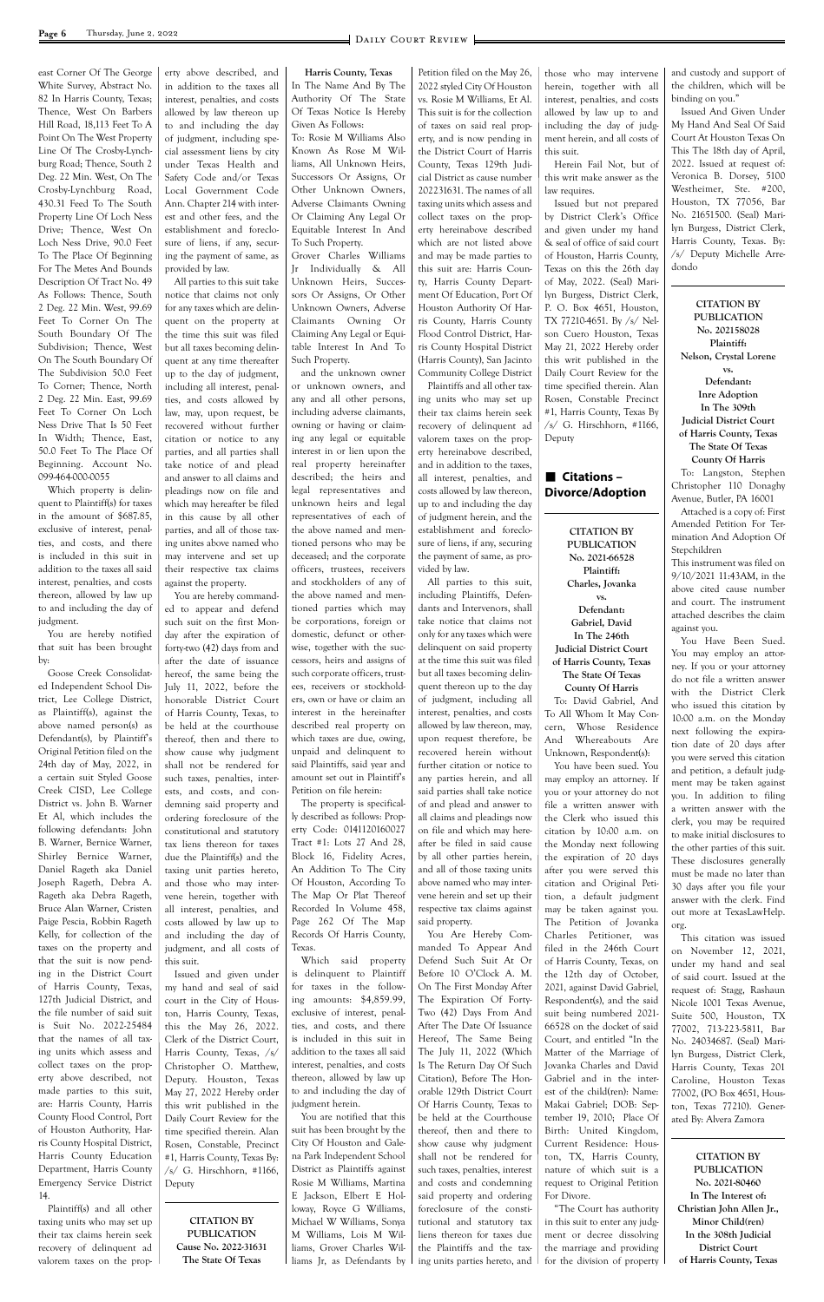east Corner Of The George White Survey, Abstract No. 82 In Harris County, Texas; Thence, West On Barbers Hill Road, 18,113 Feet To A Point On The West Property Line Of The Crosby-Lynchburg Road; Thence, South 2 Deg. 22 Min. West, On The Crosby-Lynchburg Road, 430.31 Feed To The South Property Line Of Loch Ness Drive; Thence, West On Loch Ness Drive, 90.0 Feet To The Place Of Beginning For The Metes And Bounds Description Of Tract No. 49 As Follows: Thence, South 2 Deg. 22 Min. West, 99.69 Feet To Corner On The South Boundary Of The Subdivision; Thence, West On The South Boundary Of The Subdivision 50.0 Feet To Corner; Thence, North 2 Deg. 22 Min. East, 99.69 Feet To Corner On Loch Ness Drive That Is 50 Feet In Width; Thence, East, 50.0 Feet To The Place Of Beginning. Account No. 099-464-000-0055

Which property is delinquent to Plaintiff(s) for taxes in the amount of \$687.85, exclusive of interest, penalties, and costs, and there is included in this suit in addition to the taxes all said interest, penalties, and costs thereon, allowed by law up to and including the day of judgment.

You are hereby notified that suit has been brought by:

Goose Creek Consolidated Independent School District, Lee College District, as Plaintiff(s), against the above named person(s) as Defendant(s), by Plaintiff's Original Petition filed on the 24th day of May, 2022, in a certain suit Styled Goose Creek CISD, Lee College District vs. John B. Warner Et Al, which includes the following defendants: John B. Warner, Bernice Warner, Shirley Bernice Warner, Daniel Rageth aka Daniel Joseph Rageth, Debra A. Rageth aka Debra Rageth, Bruce Alan Warner, Cristen Paige Pescia, Robbin Rageth Kelly, for collection of the taxes on the property and erty above described, and in addition to the taxes all interest, penalties, and costs allowed by law thereon up to and including the day of judgment, including special assessment liens by city under Texas Health and Safety Code and/or Texas Local Government Code Ann. Chapter 214 with interest and other fees, and the establishment and foreclosure of liens, if any, securing the payment of same, as provided by law.

All parties to this suit take notice that claims not only for any taxes which are delinquent on the property at the time this suit was filed but all taxes becoming delinquent at any time thereafter up to the day of judgment, including all interest, penalties, and costs allowed by law, may, upon request, be recovered without further citation or notice to any parties, and all parties shall take notice of and plead and answer to all claims and pleadings now on file and which may hereafter be filed in this cause by all other parties, and all of those taxing unites above named who may intervene and set up their respective tax claims against the property.

You are hereby commanded to appear and defend such suit on the first Monday after the expiration of forty-two (42) days from and after the date of issuance hereof, the same being the July 11, 2022, before the honorable District Court of Harris County, Texas, to be held at the courthouse thereof, then and there to show cause why judgment shall not be rendered for such taxes, penalties, interests, and costs, and condemning said property and ordering foreclosure of the constitutional and statutory tax liens thereon for taxes due the Plaintiff(s) and the taxing unit parties hereto, and those who may intervene herein, together with all interest, penalties, and costs allowed by law up to and including the day of judgment, and all costs of

**Harris County, Texas** In The Name And By The Authority Of The State Of Texas Notice Is Hereby Given As Follows:

To: Rosie M Williams Also Known As Rose M Williams, All Unknown Heirs, Successors Or Assigns, Or Other Unknown Owners, Adverse Claimants Owning Or Claiming Any Legal Or Equitable Interest In And To Such Property.

Grover Charles Williams Jr Individually & All Unknown Heirs, Successors Or Assigns, Or Other Unknown Owners, Adverse Claimants Owning Or Claiming Any Legal or Equitable Interest In And To Such Property.

and the unknown owner or unknown owners, and any and all other persons, including adverse claimants, owning or having or claiming any legal or equitable interest in or lien upon the real property hereinafter described; the heirs and legal representatives and unknown heirs and legal representatives of each of the above named and mentioned persons who may be deceased; and the corporate officers, trustees, receivers and stockholders of any of the above named and mentioned parties which may be corporations, foreign or domestic, defunct or otherwise, together with the successors, heirs and assigns of such corporate officers, trustees, receivers or stockholders, own or have or claim an interest in the hereinafter described real property on which taxes are due, owing, unpaid and delinquent to said Plaintiffs, said year and amount set out in Plaintiff's Petition on file herein:

The property is specifically described as follows: Property Code: 0141120160027 Tract #1: Lots 27 And 28, Block 16, Fidelity Acres, An Addition To The City Of Houston, According To The Map Or Plat Thereof Recorded In Volume 458, Page 262 Of The Map Records Of Harris County, Texas.

Petition filed on the May 26, 2022 styled City Of Houston vs. Rosie M Williams, Et Al. This suit is for the collection of taxes on said real property, and is now pending in the District Court of Harris County, Texas 129th Judicial District as cause number 202231631. The names of all taxing units which assess and collect taxes on the property hereinabove described which are not listed above and may be made parties to this suit are: Harris County, Harris County Department Of Education, Port Of Houston Authority Of Harris County, Harris County Flood Control District, Harris County Hospital District (Harris County), San Jacinto Community College District

| that the suit is now pend-    | this suit.                   | Which said<br>property         | Defend Such Suit At Or          | of Harris County, Texas, on     | under my hand and seal       |
|-------------------------------|------------------------------|--------------------------------|---------------------------------|---------------------------------|------------------------------|
| ing in the District Court     | Issued and given under       | is delinquent to Plaintiff     | Before 10 O'Clock A. M.         | the 12th day of October,        | of said court. Issued at the |
| of Harris County, Texas,      | my hand and seal of said     | for taxes in the follow-       | On The First Monday After       | 2021, against David Gabriel,    | request of: Stagg, Rashaun   |
| 127th Judicial District, and  | court in the City of Hous-   | ing amounts: \$4,859.99,       | The Expiration Of Forty-        | Respondent(s), and the said     | Nicole 1001 Texas Avenue,    |
| the file number of said suit  | ton, Harris County, Texas,   | exclusive of interest, penal-  | Two (42) Days From And          | suit being numbered 2021-       | Suite 500, Houston, TX       |
| is Suit No. 2022-25484        | this the May 26, 2022.       | ties, and costs, and there     | After The Date Of Issuance      | 66528 on the docket of said     | 77002, 713-223-5811, Bar     |
| that the names of all tax-    | Clerk of the District Court, | is included in this suit in    | Hereof, The Same Being          | Court, and entitled "In the     | No. 24034687. (Seal) Mari-   |
| ing units which assess and    | Harris County, Texas, /s/    | addition to the taxes all said | The July 11, 2022 (Which        | Matter of the Marriage of       | lyn Burgess, District Clerk, |
| collect taxes on the prop-    | Christopher O. Matthew,      | interest, penalties, and costs | Is The Return Day Of Such       | Jovanka Charles and David       | Harris County, Texas 201     |
| erty above described, not     | Deputy. Houston, Texas       | thereon, allowed by law up     | Citation), Before The Hon-      | Gabriel and in the inter-       | Caroline, Houston Texas      |
| made parties to this suit,    | May 27, 2022 Hereby order    | to and including the day of    | orable 129th District Court     | est of the child(ren): Name:    | 77002, (PO Box 4651, Hous-   |
| are: Harris County, Harris    | this writ published in the   | judgment herein.               | Of Harris County, Texas to      | Makai Gabriel; DOB: Sep-        | ton, Texas 77210). Gener-    |
| County Flood Control, Port    | Daily Court Review for the   | You are notified that this     | be held at the Courthouse       | tember 19, 2010; Place Of       | ated By: Alvera Zamora       |
| of Houston Authority, Har-    | time specified therein. Alan | suit has been brought by the   | thereof, then and there to      | Birth: United Kingdom,          |                              |
| ris County Hospital District, | Rosen, Constable, Precinct   | City Of Houston and Gale-      | show cause why judgment         | Current Residence: Hous-        |                              |
| Harris County Education       | #1, Harris County, Texas By: | na Park Independent School     | shall not be rendered for       | ton, TX, Harris County,         | <b>CITATION BY</b>           |
| Department, Harris County     | /s/ G. Hirschhorn, #1166,    | District as Plaintiffs against | such taxes, penalties, interest | nature of which suit is a       | <b>PUBLICATION</b>           |
| Emergency Service District    | Deputy                       | Rosie M Williams, Martina      | and costs and condemning        | request to Original Petition    | No. 2021-80460               |
| 14.                           |                              | E Jackson, Elbert E Hol-       | said property and ordering      | For Divore.                     | In The Interest of:          |
| Plaintiff(s) and all other    |                              | loway, Royce G Williams,       | foreclosure of the consti-      | "The Court has authority"       | Christian John Allen Jr.,    |
| taxing units who may set up   | <b>CITATION BY</b>           | Michael W Williams, Sonya      | tutional and statutory tax      | in this suit to enter any judg- | Minor Child(ren)             |
| their tax claims herein seek  | <b>PUBLICATION</b>           | M Williams, Lois M Wil-        | liens thereon for taxes due     | ment or decree dissolving       | In the 308th Judicial        |
| recovery of delinquent ad     | Cause No. 2022-31631         | liams, Grover Charles Wil-     | the Plaintiffs and the tax-     | the marriage and providing      | District Court               |
| valorem taxes on the prop-    | The State Of Texas           | liams Jr, as Defendants by     | ing units parties hereto, and   | for the division of property    | of Harris County, Texas      |
|                               |                              |                                |                                 |                                 |                              |
|                               |                              |                                |                                 |                                 |                              |

Plaintiffs and all other taxing units who may set up their tax claims herein seek recovery of delinquent ad valorem taxes on the property hereinabove described, and in addition to the taxes, all interest, penalties, and costs allowed by law thereon, up to and including the day of judgment herein, and the establishment and foreclosure of liens, if any, securing the payment of same, as provided by law.

All parties to this suit, including Plaintiffs, Defendants and Intervenors, shall take notice that claims not only for any taxes which were delinquent on said property at the time this suit was filed but all taxes becoming delinquent thereon up to the day of judgment, including all interest, penalties, and costs allowed by law thereon, may, upon request therefore, be recovered herein without further citation or notice to any parties herein, and all said parties shall take notice of and plead and answer to all claims and pleadings now on file and which may hereafter be filed in said cause by all other parties herein, and all of those taxing units above named who may intervene herein and set up their respective tax claims against said property.

You Are Hereby Commanded To Appear And

those who may intervene herein, together with all interest, penalties, and costs allowed by law up to and including the day of judgment herein, and all costs of this suit.

Herein Fail Not, but of this writ make answer as the law requires.

Issued but not prepared by District Clerk's Office and given under my hand & seal of office of said court of Houston, Harris County, Texas on this the 26th day of May, 2022. (Seal) Marilyn Burgess, District Clerk, P. O. Box 4651, Houston, TX 77210-4651. By /s/ Nelson Cuero Houston, Texas May 21, 2022 Hereby order this writ published in the Daily Court Review for the time specified therein. Alan Rosen, Constable Precinct #1, Harris County, Texas By /s/ G. Hirschhorn, #1166, Deputy

## n **Citations – Divorce/Adoption**

**CITATION BY**

**PUBLICATION No. 2021-66528 Plaintiff: Charles, Jovanka vs. Defendant: Gabriel, David In The 246th Judicial District Court of Harris County, Texas The State Of Texas County Of Harris** To: David Gabriel, And To All Whom It May Concern, Whose Residence And Whereabouts Are

Unknown, Respondent(s): You have been sued. You may employ an attorney. If you or your attorney do not file a written answer with the Clerk who issued this citation by 10:00 a.m. on the Monday next following the expiration of 20 days after you were served this citation and Original Petition, a default judgment may be taken against you. The Petition of Jovanka Charles Petitioner, was filed in the 246th Court and custody and support of the children, which will be binding on you."

Issued And Given Under My Hand And Seal Of Said Court At Houston Texas On This The 18th day of April, 2022. Issued at request of: Veronica B. Dorsey, 5100 Westheimer, Ste. #200, Houston, TX 77056, Bar No. 21651500. (Seal) Marilyn Burgess, District Clerk, Harris County, Texas. By: /s/ Deputy Michelle Arredondo

**CITATION BY PUBLICATION No. 202158028 Plaintiff: Nelson, Crystal Lorene vs. Defendant: Inre Adoption In The 309th Judicial District Court of Harris County, Texas The State Of Texas County Of Harris**

To: Langston, Stephen Christopher 110 Donaghy Avenue, Butler, PA 16001

Attached is a copy of: First Amended Petition For Termination And Adoption Of Stepchildren

This instrument was filed on 9/10/2021 11:43AM, in the above cited cause number and court. The instrument attached describes the claim against you.

You Have Been Sued. You may employ an attorney. If you or your attorney do not file a written answer with the District Clerk who issued this citation by 10:00 a.m. on the Monday next following the expiration date of 20 days after you were served this citation and petition, a default judgment may be taken against you. In addition to filing a written answer with the clerk, you may be required to make initial disclosures to the other parties of this suit. These disclosures generally must be made no later than 30 days after you file your answer with the clerk. Find out more at TexasLawHelp. org.

This citation was issued on November 12, 2021,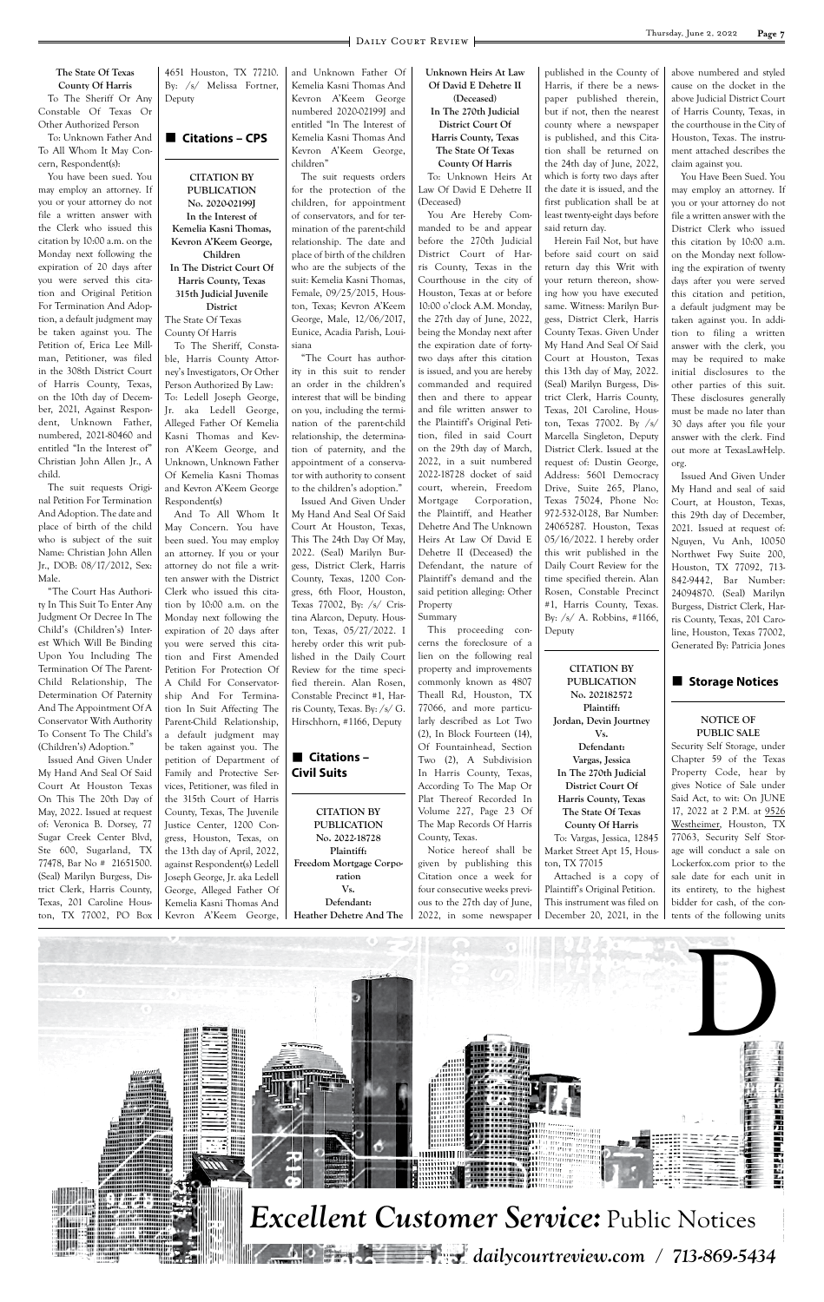

#### **The State Of Texas County Of Harris**

To The Sheriff Or Any Constable Of Texas Or Other Authorized Person

To: Unknown Father And To All Whom It May Concern, Respondent(s):

You have been sued. You may employ an attorney. If you or your attorney do not file a written answer with the Clerk who issued this citation by 10:00 a.m. on the Monday next following the expiration of 20 days after you were served this citation and Original Petition For Termination And Adoption, a default judgment may be taken against you. The Petition of, Erica Lee Millman, Petitioner, was filed in the 308th District Court of Harris County, Texas, on the 10th day of December, 2021, Against Respondent, Unknown Father, numbered, 2021-80460 and entitled "In the Interest of" Christian John Allen Jr., A child.

The suit requests Original Petition For Termination And Adoption. The date and place of birth of the child who is subject of the suit Name: Christian John Allen Jr., DOB: 08/17/2012, Sex: Male.

"The Court Has Authority In This Suit To Enter Any Judgment Or Decree In The Child's (Children's) Interest Which Will Be Binding Upon You Including The Termination Of The Parent-Child Relationship, The Determination Of Paternity And The Appointment Of A Conservator With Authority To Consent To The Child's (Children's) Adoption."

Issued And Given Under My Hand And Seal Of Said Court At Houston Texas On This The 20th Day of May, 2022. Issued at request of: Veronica B. Dorsey, 77 Sugar Creek Center Blvd, Ste 600, Sugarland, TX 77478, Bar No # 21651500. (Seal) Marilyn Burgess, District Clerk, Harris County, Texas, 201 Caroline Houston, TX 77002, PO Box

4651 Houston, TX 77210. By: /s/ Melissa Fortner, Deputy

## ■ Citations – CPS

**CITATION BY PUBLICATION No. 2020-02199J In the Interest of Kemelia Kasni Thomas, Kevron A'Keem George, Children In The District Court Of Harris County, Texas 315th Judicial Juvenile District** The State Of Texas County Of Harris

To The Sheriff, Constable, Harris County Attorney's Investigators, Or Other Person Authorized By Law: To: Ledell Joseph George, Jr. aka Ledell George, Alleged Father Of Kemelia Kasni Thomas and Kevron A'Keem George, and Unknown, Unknown Father Of Kemelia Kasni Thomas and Kevron A'Keem George Respondent(s)

## ■ Citations – **Civil Suits**

And To All Whom It May Concern. You have been sued. You may employ an attorney. If you or your attorney do not file a written answer with the District Clerk who issued this citation by 10:00 a.m. on the Monday next following the expiration of 20 days after you were served this citation and First Amended Petition For Protection Of A Child For Conservatorship And For Termination In Suit Affecting The Parent-Child Relationship, a default judgment may be taken against you. The petition of Department of Family and Protective Services, Petitioner, was filed in the 315th Court of Harris County, Texas, The Juvenile Justice Center, 1200 Congress, Houston, Texas, on the 13th day of April, 2022, against Respondent(s) Ledell Joseph George, Jr. aka Ledell George, Alleged Father Of Kemelia Kasni Thomas And Kevron A'Keem George, and Unknown Father Of Kemelia Kasni Thomas And Kevron A'Keem George numbered 2020-02199J and entitled "In The Interest of Kemelia Kasni Thomas And Kevron A'Keem George, children"

The suit requests orders for the protection of the children, for appointment of conservators, and for termination of the parent-child relationship. The date and place of birth of the children who are the subjects of the suit: Kemelia Kasni Thomas, Female, 09/25/2015, Houston, Texas; Kevron A'Keem George, Male, 12/06/2017, Eunice, Acadia Parish, Louisiana

"The Court has authority in this suit to render an order in the children's interest that will be binding on you, including the termination of the parent-child relationship, the determination of paternity, and the appointment of a conservator with authority to consent to the children's adoption."

Issued And Given Under My Hand And Seal Of Said Court At Houston, Texas, This The 24th Day Of May, 2022. (Seal) Marilyn Burgess, District Clerk, Harris County, Texas, 1200 Congress, 6th Floor, Houston, Texas 77002, By: /s/ Cristina Alarcon, Deputy. Houston, Texas, 05/27/2022. I hereby order this writ published in the Daily Court Review for the time specified therein. Alan Rosen, Constable Precinct #1, Harris County, Texas. By: /s/ G. Hirschhorn, #1166, Deputy

**CITATION BY PUBLICATION No. 2022-18728 Plaintiff: Freedom Mortgage Corporation Vs. Defendant: Heather Dehetre And The**  **Unknown Heirs At Law Of David E Dehetre II (Deceased)**

**In The 270th Judicial District Court Of Harris County, Texas The State Of Texas**

**County Of Harris** To: Unknown Heirs At

Law Of David E Dehetre II (Deceased) You Are Hereby Com-

manded to be and appear before the 270th Judicial District Court of Harris County, Texas in the Courthouse in the city of Houston, Texas at or before 10:00 o'clock A.M. Monday, the 27th day of June, 2022, being the Monday next after the expiration date of fortytwo days after this citation is issued, and you are hereby commanded and required then and there to appear and file written answer to the Plaintiff's Original Petition, filed in said Court on the 29th day of March, 2022, in a suit numbered 2022-18728 docket of said court, wherein, Freedom Mortgage Corporation, the Plaintiff, and Heather Dehetre And The Unknown Heirs At Law Of David E Dehetre II (Deceased) the Defendant, the nature of Plaintiff's demand and the said petition alleging: Other Property Summary

This proceeding concerns the foreclosure of a lien on the following real property and improvements commonly known as 4807 Theall Rd, Houston, TX 77066, and more particularly described as Lot Two (2), In Block Fourteen (14), Of Fountainhead, Section Two (2), A Subdivision In Harris County, Texas, According To The Map Or Plat Thereof Recorded In Volume 227, Page 23 Of The Map Records Of Harris County, Texas.

Notice hereof shall be given by publishing this Citation once a week for four consecutive weeks previous to the 27th day of June, 2022, in some newspaper published in the County of Harris, if there be a newspaper published therein, but if not, then the nearest county where a newspaper is published, and this Citation shall be returned on the 24th day of June, 2022, which is forty two days after the date it is issued, and the first publication shall be at least twenty-eight days before said return day.

Herein Fail Not, but have before said court on said return day this Writ with your return thereon, showing how you have executed same. Witness: Marilyn Burgess, District Clerk, Harris County Texas. Given Under My Hand And Seal Of Said Court at Houston, Texas this 13th day of May, 2022. (Seal) Marilyn Burgess, District Clerk, Harris County, Texas, 201 Caroline, Houston, Texas 77002. By /s/ Marcella Singleton, Deputy District Clerk. Issued at the request of: Dustin George, Address: 5601 Democracy Drive, Suite 265, Plano, Texas 75024, Phone No: 972-532-0128, Bar Number: 24065287. Houston, Texas 05/16/2022. I hereby order this writ published in the Daily Court Review for the time specified therein. Alan Rosen, Constable Precinct #1, Harris County, Texas. By: /s/ A. Robbins, #1166, Deputy

**CITATION BY PUBLICATION No. 202182572 Plaintiff: Jordan, Devin Jourtney Vs. Defendant: Vargas, Jessica In The 270th Judicial District Court Of Harris County, Texas The State Of Texas County Of Harris**

To: Vargas, Jessica, 12845 Market Street Apt 15, Houston, TX 77015

Attached is a copy of Plaintiff's Original Petition. This instrument was filed on December 20, 2021, in the above numbered and styled cause on the docket in the above Judicial District Court of Harris County, Texas, in the courthouse in the City of Houston, Texas. The instrument attached describes the claim against you.

You Have Been Sued. You may employ an attorney. If you or your attorney do not file a written answer with the District Clerk who issued this citation by 10:00 a.m. on the Monday next following the expiration of twenty days after you were served this citation and petition, a default judgment may be taken against you. In addition to filing a written answer with the clerk, you may be required to make initial disclosures to the other parties of this suit. These disclosures generally must be made no later than 30 days after you file your answer with the clerk. Find out more at TexasLawHelp. org.

Issued And Given Under My Hand and seal of said Court, at Houston, Texas, this 29th day of December, 2021. Issued at request of: Nguyen, Vu Anh, 10050 Northwet Fwy Suite 200, Houston, TX 77092, 713- 842-9442, Bar Number: 24094870. (Seal) Marilyn Burgess, District Clerk, Harris County, Texas, 201 Caroline, Houston, Texas 77002, Generated By: Patricia Jones

## ■ Storage Notices

#### **NOTICE OF PUBLIC SALE**

Security Self Storage, under Chapter 59 of the Texas Property Code, hear by gives Notice of Sale under Said Act, to wit: On JUNE 17, 2022 at 2 P.M. at 9526 Westheimer, Houston, TX 77063, Security Self Storage will conduct a sale on Lockerfox.com prior to the sale date for each unit in its entirety, to the highest bidder for cash, of the contents of the following units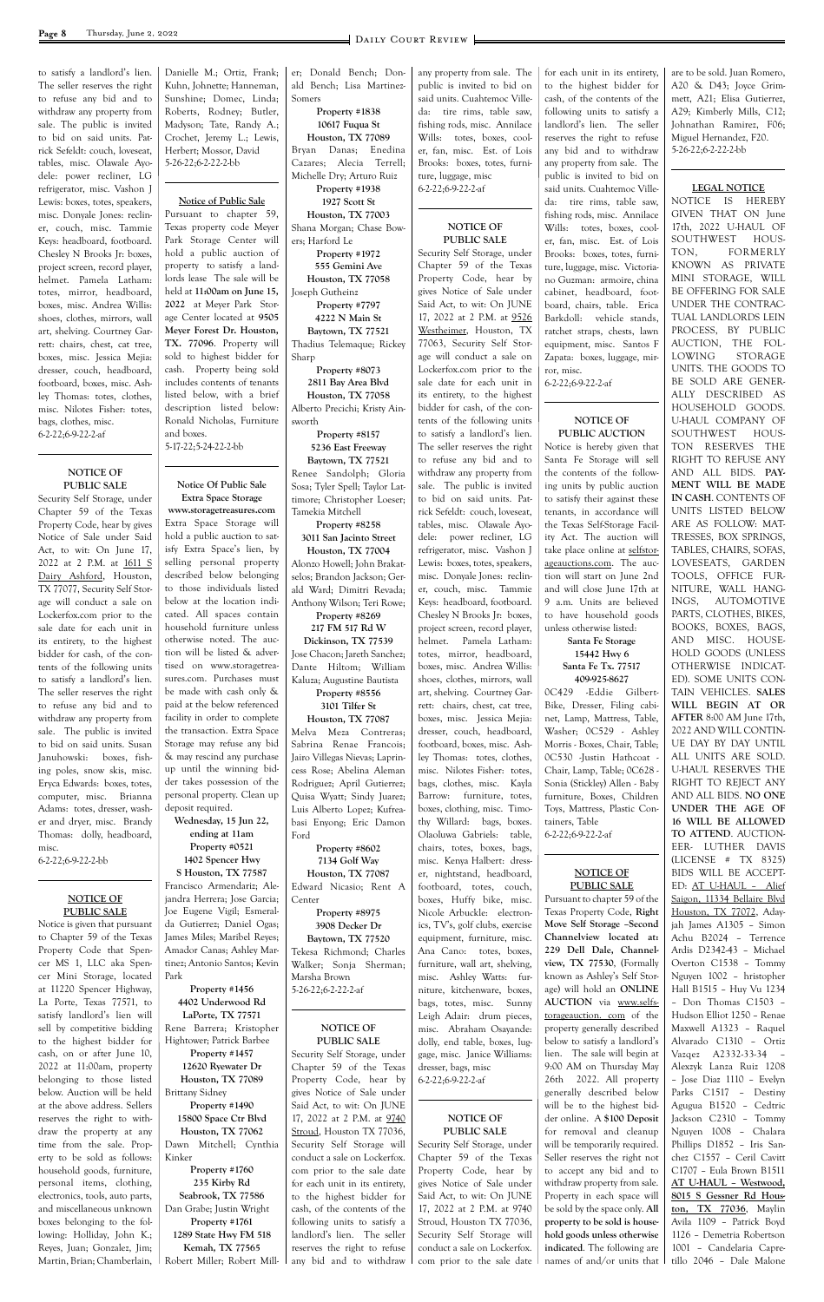to satisfy a landlord's lien. The seller reserves the right to refuse any bid and to withdraw any property from sale. The public is invited to bid on said units. Patrick Sefeldt: couch, loveseat, tables, misc. Olawale Ayodele: power recliner, LG refrigerator, misc. Vashon J Lewis: boxes, totes, speakers, misc. Donyale Jones: recliner, couch, misc. Tammie Keys: headboard, footboard. Chesley N Brooks Jr: boxes, project screen, record player, helmet. Pamela Latham: totes, mirror, headboard, boxes, misc. Andrea Willis: shoes, clothes, mirrors, wall art, shelving. Courtney Garrett: chairs, chest, cat tree, boxes, misc. Jessica Mejia: dresser, couch, headboard, footboard, boxes, misc. Ashley Thomas: totes, clothes, misc. Nilotes Fisher: totes, bags, clothes, misc. 6-2-22;6-9-22-2-af

#### **NOTICE OF PUBLIC SALE**

Security Self Storage, under Chapter 59 of the Texas Property Code, hear by gives Notice of Sale under Said Act, to wit: On June 17, 2022 at 2 P.M. at 1611 S Dairy Ashford, Houston, TX 77077, Security Self Storage will conduct a sale on Lockerfox.com prior to the sale date for each unit in its entirety, to the highest bidder for cash, of the contents of the following units to satisfy a landlord's lien. The seller reserves the right to refuse any bid and to withdraw any property from sale. The public is invited to bid on said units. Susan Januhowski: boxes, fishing poles, snow skis, misc. Eryca Edwards: boxes, totes, computer, misc. Brianna Adams: totes, dresser, washer and dryer, misc. Brandy Thomas: dolly, headboard, misc.

6-2-22;6-9-22-2-bb

#### **NOTICE OF PUBLIC SALE**

Notice is given that pursuant to Chapter 59 of the Texas Property Code that Spen-

cer MS 1, LLC aka Spencer Mini Storage, located at 11220 Spencer Highway, La Porte, Texas 77571, to satisfy landlord's lien will sell by competitive bidding to the highest bidder for cash, on or after June 10, 2022 at 11:00am, property belonging to those listed below. Auction will be held at the above address. Sellers reserves the right to withdraw the property at any time from the sale. Property to be sold as follows: household goods, furniture, personal items, clothing, electronics, tools, auto parts, and miscellaneous unknown boxes belonging to the following: Holliday, John K.; Reyes, Juan; Gonzalez, Jim; Martin, Brian; Chamberlain,

Danielle M.; Ortiz, Frank; Kuhn, Johnette; Hanneman, Sunshine; Domec, Linda; Roberts, Rodney; Butler, Madyson; Tate, Randy A.; Crochet, Jeremy L.; Lewis, Herbert; Mossor, David 5-26-22;6-2-22-2-bb

#### **Notice of Public Sale**

Pursuant to chapter 59, Texas property code Meyer Park Storage Center will hold a public auction of property to satisfy a landlords lease The sale will be held at **11:00am on June 15, 2022** at Meyer Park Storage Center located at **9505 Meyer Forest Dr. Houston, TX. 77096**. Property will sold to highest bidder for cash. Property being sold includes contents of tenants listed below, with a brief description listed below: Ronald Nicholas, Furniture and boxes.

5-17-22;5-24-22-2-bb

#### **Notice Of Public Sale Extra Space Storage**

**www.storagetreasures.com** Extra Space Storage will hold a public auction to satisfy Extra Space's lien, by selling personal property described below belonging to those individuals listed below at the location indicated. All spaces contain household furniture unless otherwise noted. The auction will be listed & advertised on www.storagetreasures.com. Purchases must be made with cash only & paid at the below referenced facility in order to complete the transaction. Extra Space Storage may refuse any bid & may rescind any purchase up until the winning bidder takes possession of the personal property. Clean up deposit required.

#### **Wednesday, 15 Jun 22, ending at 11am Property #0521 1402 Spencer Hwy S Houston, TX 77587** Francisco Armendariz; Alejandra Herrera; Jose Garcia; Joe Eugene Vigil; Esmeralda Gutierrez; Daniel Ogas; James Miles; Maribel Reyes; Amador Canas; Ashley Mar-

tinez; Antonio Santos; Kevin Park **Property #1456 4402 Underwood Rd LaPorte, TX 77571** Rene Barrera; Kristopher Hightower; Patrick Barbee **Property #1457 12620 Ryewater Dr Houston, TX 77089** Brittany Sidney **Property #1490**

**15800 Space Ctr Blvd Houston, TX 77062** Dawn Mitchell; Cynthia Kinker

**Property #1760 235 Kirby Rd Seabrook, TX 77586** Dan Grabe; Justin Wright **Property #1761 1289 State Hwy FM 518 Kemah, TX 77565** Robert Miller; Robert Miller; Donald Bench; Donald Bench; Lisa Martinez-Somers

**Property #1838 10617 Fuqua St Houston, TX 77089** Bryan Danas; Enedina Cazares; Alecia Terrell; Michelle Dry; Arturo Ruiz **Property #1938**

**1927 Scott St Houston, TX 77003** Shana Morgan; Chase Bow-

ers; Harford Le **Property #1972 555 Gemini Ave Houston, TX 77058** Joseph Gutheinz

**Property #7797 4222 N Main St Baytown, TX 77521** Thadius Telemaque; Rickey

Sharp **Property #8073 2811 Bay Area Blvd Houston, TX 77058** Alberto Precichi; Kristy Ainsworth

**Property #8157 5236 East Freeway Baytown, TX 77521** Renee Sandolph; Gloria Sosa; Tyler Spell; Taylor Lattimore; Christopher Loeser; Tamekia Mitchell

**Property #8258 3011 San Jacinto Street Houston, TX 77004** Alonzo Howell; John Brakatselos; Brandon Jackson; Ger-

ald Ward; Dimitri Revada; Anthony Wilson; Teri Rowe; **Property #8269**

#### **217 FM 517 Rd W Dickinson, TX 77539**

Jose Chacon; Jareth Sanchez; Dante Hiltom; William Kaluza; Augustine Bautista **Property #8556**

**3101 Tilfer St Houston, TX 77087**

Melva Meza Contreras; Sabrina Renae Francois; Jairo Villegas Nievas; Laprincess Rose; Abelina Aleman Rodriguez; April Gutierrez; Quisa Wyatt; Sindy Juarez; Luis Alberto Lopez; Kufreabasi Enyong; Eric Damon Ford

> **Property #8602 7134 Golf Way**

**Houston, TX 77087** Edward Nicasio; Rent A Center

> **Property #8975 3908 Decker Dr**

**Baytown, TX 77520** Tekesa Richmond; Charles

Walker; Sonja Sherman; Marsha Brown 5-26-22;6-2-22-2-af

**NOTICE OF PUBLIC SALE** Security Self Storage, under Chapter 59 of the Texas Property Code, hear by gives Notice of Sale under Said Act, to wit: On JUNE 17, 2022 at 2 P.M. at 9740 Stroud, Houston TX 77036, Security Self Storage will conduct a sale on Lockerfox. com prior to the sale date for each unit in its entirety, to the highest bidder for cash, of the contents of the following units to satisfy a landlord's lien. The seller reserves the right to refuse any bid and to withdraw

any property from sale. The public is invited to bid on said units. Cuahtemoc Villeda: tire rims, table saw, fishing rods, misc. Annilace Wills: totes, boxes, cooler, fan, misc. Est. of Lois Brooks: boxes, totes, furniture, luggage, misc 6-2-22;6-9-22-2-af

> **NOTICE OF PUBLIC SALE**

Security Self Storage, under Chapter 59 of the Texas Property Code, hear by gives Notice of Sale under Said Act, to wit: On JUNE 17, 2022 at 2 P.M. at 9526 Westheimer, Houston, TX 77063, Security Self Storage will conduct a sale on Lockerfox.com prior to the sale date for each unit in its entirety, to the highest bidder for cash, of the contents of the following units to satisfy a landlord's lien. The seller reserves the right to refuse any bid and to withdraw any property from sale. The public is invited to bid on said units. Patrick Sefeldt: couch, loveseat, tables, misc. Olawale Ayodele: power recliner, LG refrigerator, misc. Vashon J Lewis: boxes, totes, speakers, misc. Donyale Jones: recliner, couch, misc. Tammie Keys: headboard, footboard. Chesley N Brooks Jr: boxes, project screen, record player, helmet. Pamela Latham: totes, mirror, headboard, boxes, misc. Andrea Willis: shoes, clothes, mirrors, wall art, shelving. Courtney Garrett: chairs, chest, cat tree, boxes, misc. Jessica Mejia: dresser, couch, headboard, footboard, boxes, misc. Ashley Thomas: totes, clothes, misc. Nilotes Fisher: totes, bags, clothes, misc. Kayla Barrow: furniture, totes, boxes, clothing, misc. Timothy Willard: bags, boxes. Olaoluwa Gabriels: table, chairs, totes, boxes, bags, misc. Kenya Halbert: dresser, nightstand, headboard, footboard, totes, couch, boxes, Huffy bike, misc. Nicole Arbuckle: electronics, TV's, golf clubs, exercise equipment, furniture, misc. Ana Cano: totes, boxes,

furniture, wall art, shelving, misc. Ashley Watts: furniture, kitchenware, boxes, bags, totes, misc. Sunny Leigh Adair: drum pieces, misc. Abraham Osayande: dolly, end table, boxes, luggage, misc. Janice Williams: dresser, bags, misc 6-2-22;6-9-22-2-af

### **NOTICE OF PUBLIC SALE**

Security Self Storage, under Chapter 59 of the Texas Property Code, hear by gives Notice of Sale under Said Act, to wit: On JUNE 17, 2022 at 2 P.M. at 9740 Stroud, Houston TX 77036, Security Self Storage will conduct a sale on Lockerfox. com prior to the sale date

for each unit in its entirety, to the highest bidder for cash, of the contents of the following units to satisfy a landlord's lien. The seller reserves the right to refuse any bid and to withdraw any property from sale. The public is invited to bid on said units. Cuahtemoc Villeda: tire rims, table saw, fishing rods, misc. Annilace Wills: totes, boxes, cooler, fan, misc. Est. of Lois Brooks: boxes, totes, furniture, luggage, misc. Victoriano Guzman: armoire, china cabinet, headboard, footboard, chairs, table. Erica Barkdoll: vehicle stands, ratchet straps, chests, lawn equipment, misc. Santos F Zapata: boxes, luggage, mirror, misc. 6-2-22;6-9-22-2-af

> **NOTICE OF PUBLIC AUCTION**

Notice is hereby given that Santa Fe Storage will sell the contents of the following units by public auction to satisfy their against these tenants, in accordance will the Texas Self-Storage Facility Act. The auction will take place online at selfstorageauctions.com. The auction will start on June 2nd and will close June 17th at 9 a.m. Units are believed to have household goods unless otherwise listed:

#### **Santa Fe Storage 15442 Hwy 6 Santa Fe Tx. 77517 409-925-8627**

0C429 -Eddie Gilbert-Bike, Dresser, Filing cabinet, Lamp, Mattress, Table, Washer; 0C529 - Ashley Morris - Boxes, Chair, Table; 0C530 -Justin Hathcoat - Chair, Lamp, Table; 0C628 - Sonia (Stickley) Allen - Baby furniture, Boxes, Children Toys, Mattress, Plastic Containers, Table 6-2-22;6-9-22-2-af

#### **NOTICE OF PUBLIC SALE**

Pursuant to chapter 59 of the Texas Property Code, **Right Move Self Storage –Second Channelview located at: 229 Dell Dale, Channel-**

**view, TX 77530**, (Formally known as Ashley's Self Storage) will hold an **ONLINE AUCTION** via www.selfstorageauction. com of the property generally described below to satisfy a landlord's lien. The sale will begin at 9:00 AM on Thursday May 26th 2022. All property generally described below will be to the highest bidder online. A **\$100 Deposit** for removal and cleanup will be temporarily required. Seller reserves the right not to accept any bid and to withdraw property from sale. Property in each space will be sold by the space only. **All property to be sold is household goods unless otherwise indicated**. The following are names of and/or units that

are to be sold. Juan Romero, A20 & D43; Joyce Grimmett, A21; Elisa Gutierrez, A29; Kimberly Mills, C12; Johnathan Ramirez, F06; Miguel Hernandez, F20. 5-26-22;6-2-22-2-bb

#### **LEGAL NOTICE**

NOTICE IS HEREBY GIVEN THAT ON June 17th, 2022 U-HAUL OF SOUTHWEST HOUS-TON, FORMERLY KNOWN AS PRIVATE MINI STORAGE, WILL BE OFFERING FOR SALE UNDER THE CONTRAC-TUAL LANDLORDS LEIN PROCESS, BY PUBLIC AUCTION, THE FOL-LOWING STORAGE UNITS. THE GOODS TO BE SOLD ARE GENER-ALLY DESCRIBED AS HOUSEHOLD GOODS. U-HAUL COMPANY OF SOUTHWEST HOUS-TON RESERVES THE RIGHT TO REFUSE ANY AND ALL BIDS. **PAY-MENT WILL BE MADE IN CASH**. CONTENTS OF UNITS LISTED BELOW ARE AS FOLLOW: MAT-TRESSES, BOX SPRINGS, TABLES, CHAIRS, SOFAS, LOVESEATS, GARDEN TOOLS, OFFICE FUR-NITURE, WALL HANG-INGS, AUTOMOTIVE PARTS, CLOTHES, BIKES, BOOKS, BOXES, BAGS, AND MISC. HOUSE-HOLD GOODS (UNLESS OTHERWISE INDICAT-ED). SOME UNITS CON-TAIN VEHICLES. **SALES WILL BEGIN AT OR AFTER** 8:00 AM June 17th, 2022 AND WILL CONTIN-UE DAY BY DAY UNTIL ALL UNITS ARE SOLD. U-HAUL RESERVES THE RIGHT TO REJECT ANY AND ALL BIDS. **NO ONE UNDER THE AGE OF 16 WILL BE ALLOWED TO ATTEND**. AUCTION-EER- LUTHER DAVIS (LICENSE # TX 8325) BIDS WILL BE ACCEPT-ED: AT U-HAUL – Alief Saigon, 11334 Bellaire Blvd Houston, TX 77072, Adayjah James A1305 – Simon Achu B2024 – Terrence Ardis D2342-43 – Michael Overton C1538 – Tommy Nguyen 1002 – hristopher Hall B1515 – Huy Vu 1234 – Don Thomas C1503 – Hudson Elliot 1250 – Renae Maxwell A1323 – Raquel Alvarado C1310 – Ortiz Vazqez A2332-33-34 – Alexzyk Lanza Ruiz 1208 – Jose Diaz 1110 – Evelyn Parks C1517 – Destiny Agugua B1520 – Cedtric Jackson C2310 – Tommy Nguyen 1008 – Chalara Phillips D1852 – Iris Sanchez C1557 – Ceril Cavitt C1707 – Eula Brown B1511 **AT U-HAUL – Westwood, 8015 S Gessner Rd Houston, TX 77036**, Maylin Avila 1109 – Patrick Boyd 1126 – Demetria Robertson 1001 – Candelaria Capretillo 2046 – Dale Malone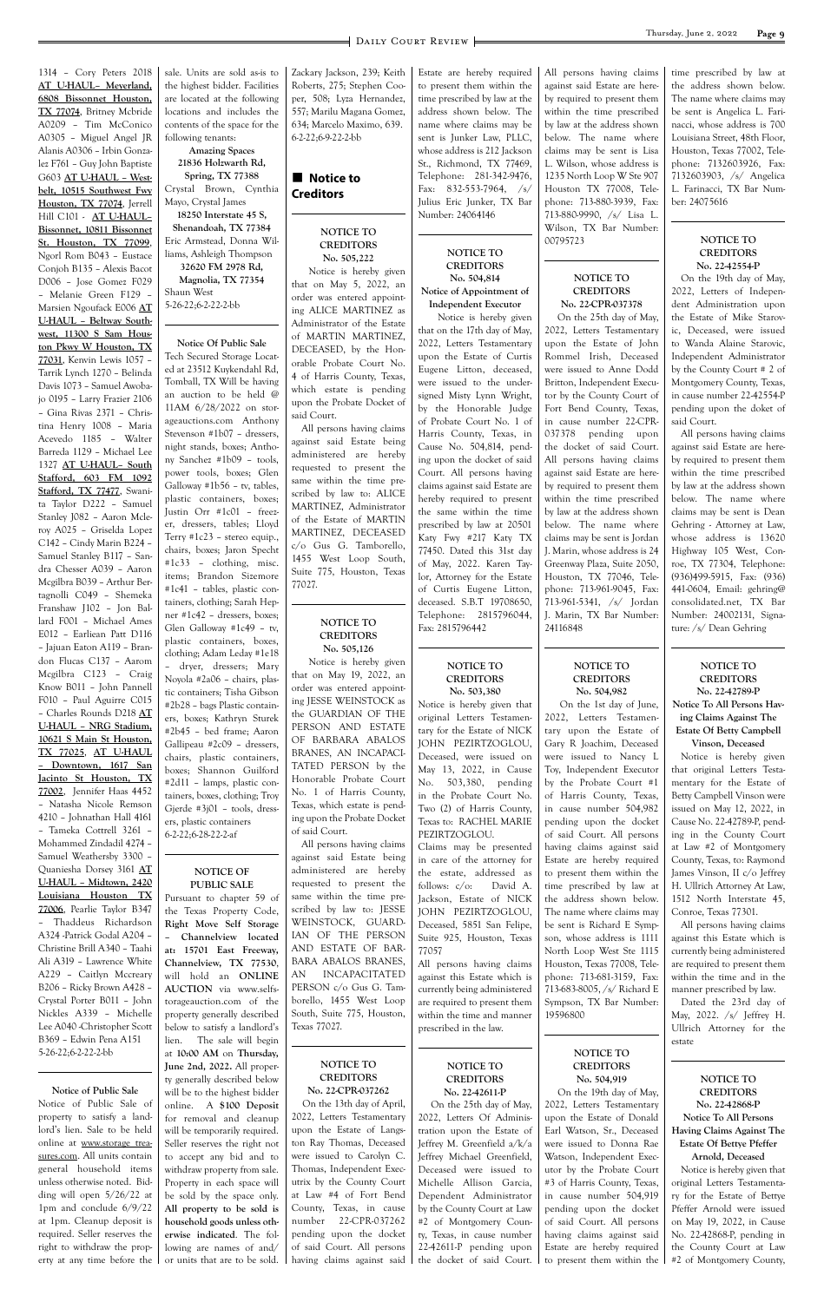1314 – Cory Peters 2018 **AT U-HAUL– Meyerland, 6808 Bissonnet Houston, TX 77074**, Britney Mcbride A0209 – Tim McConico A0305 – Miguel Angel JR Alanis A0306 – Irbin Gonzalez F761 – Guy John Baptiste G603 **AT U-HAUL – Westbelt, 10515 Southwest Fwy Houston, TX 77074**, Jerrell Hill C101 - **AT U-HAUL– Bissonnet, 10811 Bissonnet St. Houston, TX 77099**, Ngorl Rom B043 – Eustace Conjoh B135 – Alexis Bacot D006 – Jose Gomez F029 – Melanie Green F129 – Marsien Ngoufack E006 **AT U-HAUL – Beltway Southwest, 11300 S Sam Houston Pkwy W Houston, TX 77031**, Kenvin Lewis 1057 – Tarrik Lynch 1270 – Belinda Davis 1073 – Samuel Awobajo 0195 – Larry Frazier 2106 – Gina Rivas 2371 – Christina Henry 1008 – Maria Acevedo 1185 – Walter Barreda 1129 – Michael Lee 1327 **AT U-HAUL– South Stafford, 603 FM 1092 Stafford, TX 77477**, Swanita Taylor D222 – Samuel Stanley J082 – Aaron Mcleroy A025 – Griselda Lopez C142 – Cindy Marin B224 – Samuel Stanley B117 – Sandra Chesser A039 – Aaron Mcgilbra B039 – Arthur Bertagnolli C049 – Shemeka Franshaw J102 – Jon Ballard F001 – Michael Ames E012 – Earliean Patt D116 – Jajuan Eaton A119 – Brandon Flucas C137 – Aarom Mcgilbra C123 – Craig Know B011 – John Pannell F010 – Paul Aguirre C015 – Charles Rounds D218 **AT U-HAUL – NRG Stadium, 10621 S Main St Houston, TX 77025**, **AT U-HAUL – Downtown, 1617 San Jacinto St Houston, TX 77002**, Jennifer Haas 4452 – Natasha Nicole Remson 4210 – Johnathan Hall 4161 – Tameka Cottrell 3261 – Mohammed Zindadil 4274 – Samuel Weathersby 3300 – Quaniesha Dorsey 3161 **AT U-HAUL – Midtown, 2420 Louisiana Houston TX 77006**, Pearlie Taylor B347 – Thaddeus Richardson A324 -Patrick Godal A204 – Christine Brill A340 – Taahi

Ali A319 – Lawrence White A229 – Caitlyn Mccreary B206 – Ricky Brown A428 – Crystal Porter B011 – John Nickles A339 – Michelle Lee A040 -Christopher Scott B369 – Edwin Pena A151 5-26-22;6-2-22-2-bb

**Notice of Public Sale** Notice of Public Sale of property to satisfy a landlord's lien. Sale to be held online at www.storage treasures.com. All units contain general household items unless otherwise noted. Bidding will open 5/26/22 at 1pm and conclude 6/9/22 at 1pm. Cleanup deposit is required. Seller reserves the right to withdraw the property at any time before the

## **Notice to Creditors**

sale. Units are sold as-is to the highest bidder. Facilities are located at the following locations and includes the contents of the space for the following tenants:

**Amazing Spaces 21836 Holzwarth Rd, Spring, TX 77388** Crystal Brown, Cynthia Mayo, Crystal James **18250 Interstate 45 S, Shenandoah, TX 77384** Eric Armstead, Donna Williams, Ashleigh Thompson **32620 FM 2978 Rd, Magnolia, TX 77354** Shaun West 5-26-22;6-2-22-2-bb

**Notice Of Public Sale** Tech Secured Storage Located at 23512 Kuykendahl Rd, Tomball, TX Will be having an auction to be held @ 11AM 6/28/2022 on storageauctions.com Anthony Stevenson #1b07 – dressers, night stands, boxes; Anthony Sanchez #1b09 – tools, power tools, boxes; Glen Galloway #1b56 – tv, tables, plastic containers, boxes; Justin Orr #1c01 – freezer, dressers, tables; Lloyd Terry #1c23 – stereo equip., chairs, boxes; Jaron Specht #1c33 – clothing, misc. items; Brandon Sizemore #1c41 – tables, plastic containers, clothing; Sarah Hepner #1c42 – dressers, boxes; Glen Galloway #1c49 – tv, plastic containers, boxes, clothing; Adam Leday #1e18 – dryer, dressers; Mary Noyola #2a06 – chairs, plastic containers; Tisha Gibson #2b28 – bags Plastic containers, boxes; Kathryn Sturek #2b45 – bed frame; Aaron Gallipeau #2c09 – dressers, chairs, plastic containers, boxes; Shannon Guilford #2d11 – lamps, plastic containers, boxes, clothing; Troy Gjerde #3j01 – tools, dressers, plastic containers 6-2-22;6-28-22-2-af

#### **NOTICE OF PUBLIC SALE**

Zackary Jackson, 239; Keith Roberts, 275; Stephen Cooper, 508; Lyza Hernandez, 557; Marilu Magana Gomez, 634; Marcelo Maximo, 639. 6-2-22;6-9-22-2-bb

### **NOTICE TO CREDITORS No. 505,222**

 Notice is hereby given that on May 5, 2022, an order was entered appointing ALICE MARTINEZ as Administrator of the Estate of MARTIN MARTINEZ, DECEASED, by the Honorable Probate Court No. 4 of Harris County, Texas, which estate is pending upon the Probate Docket of said Court.

Pursuant to chapter 59 of the Texas Property Code, **Right Move Self Storage – Channelview located at: 15701 East Freeway, Channelview, TX 77530**, will hold an **ONLINE AUCTION** via www.selfstorageauction.com of the property generally described below to satisfy a landlord's lien. The sale will begin at **10:00 AM** on **Thursday, June 2nd, 2022.** All property generally described below will be to the highest bidder online. A **\$100 Deposit** for removal and cleanup will be temporarily required. Seller reserves the right not to accept any bid and to withdraw property from sale. Property in each space will be sold by the space only. **All property to be sold is household goods unless otherwise indicated**. The following are names of and/ or units that are to be sold. AN INCAPACITATED PERSON c/o Gus G. Tamborello, 1455 West Loop South, Suite 775, Houston, Texas 77027.

 All persons having claims against said Estate being administered are hereby requested to present the same within the time prescribed by law to: ALICE MARTINEZ, Administrator of the Estate of MARTIN MARTINEZ, DECEASED c/o Gus G. Tamborello, 1455 West Loop South, Suite 775, Houston, Texas 77027.

#### **NOTICE TO CREDITORS No. 505,126**

 Notice is hereby given that on May 19, 2022, an order was entered appointing JESSE WEINSTOCK as the GUARDIAN OF THE PERSON AND ESTATE OF BARBARA ABALOS BRANES, AN INCAPACI-TATED PERSON by the Honorable Probate Court No. 1 of Harris County, Texas, which estate is pending upon the Probate Docket of said Court.

 All persons having claims against said Estate being administered are hereby requested to present the same within the time prescribed by law to: JESSE WEINSTOCK, GUARD-IAN OF THE PERSON AND ESTATE OF BAR-BARA ABALOS BRANES,

**NOTICE TO CREDITORS No. 22-CPR-037262** On the 13th day of April, 2022, Letters Testamentary upon the Estate of Langston Ray Thomas, Deceased were issued to Carolyn C. Thomas, Independent Executrix by the County Court at Law #4 of Fort Bend County, Texas, in cause number 22-CPR-037262 pending upon the docket of said Court. All persons having claims against said

Estate are hereby required to present them within the time prescribed by law at the address shown below. The name where claims may be sent is Junker Law, PLLC, whose address is 212 Jackson St., Richmond, TX 77469, Telephone: 281-342-9476, Fax: 832-553-7964, /s/ Julius Eric Junker, TX Bar Number: 24064146

## **NOTICE TO CREDITORS No. 504,814**

**Notice of Appointment of Independent Executor** Notice is hereby given

that on the 17th day of May, 2022, Letters Testamentary upon the Estate of Curtis Eugene Litton, deceased, were issued to the undersigned Misty Lynn Wright, by the Honorable Judge of Probate Court No. 1 of Harris County, Texas, in Cause No. 504,814, pending upon the docket of said Court. All persons having claims against said Estate are hereby required to present the same within the time prescribed by law at 20501 Katy Fwy #217 Katy TX 77450. Dated this 31st day of May, 2022. Karen Taylor, Attorney for the Estate of Curtis Eugene Litton, deceased. S.B.T 19708650, Telephone: 2815796044, Fax: 2815796442

#### **NOTICE TO CREDITORS No. 503,380**

Notice is hereby given that original Letters Testamentary for the Estate of NICK JOHN PEZIRTZOGLOU, Deceased, were issued on May 13, 2022, in Cause No. 503,380, pending in the Probate Court No. Two (2) of Harris County, Texas to: RACHEL MARIE PEZIRTZOGLOU. Claims may be presented

in care of the attorney for the estate, addressed as follows: c/o: David A. Jackson, Estate of NICK JOHN PEZIRTZOGLOU, Deceased, 5851 San Felipe, Suite 925, Houston, Texas 77057

All persons having claims against this Estate which is currently being administered are required to present them within the time and manner prescribed in the law.

> **NOTICE TO CREDITORS No. 22-42611-P**

 On the 25th day of May, 2022, Letters Of Administration upon the Estate of Jeffrey M. Greenfield a/k/a Jeffrey Michael Greenfield, Deceased were issued to Michelle Allison Garcia, Dependent Administrator by the County Court at Law #2 of Montgomery County, Texas, in cause number 22-42611-P pending upon the docket of said Court.

All persons having claims against said Estate are hereby required to present them within the time prescribed by law at the address shown below. The name where claims may be sent is Lisa L. Wilson, whose address is 1235 North Loop W Ste 907 Houston TX 77008, Telephone: 713-880-3939, Fax: 713-880-9990, /s/ Lisa L. Wilson, TX Bar Number: 00795723

#### **NOTICE TO CREDITORS No. 22-CPR-037378**

 On the 25th day of May, 2022, Letters Testamentary upon the Estate of John Rommel Irish, Deceased were issued to Anne Dodd Britton, Independent Executor by the County Court of Fort Bend County, Texas, in cause number 22-CPR-037378 pending upon the docket of said Court. All persons having claims against said Estate are hereby required to present them within the time prescribed by law at the address shown below. The name where claims may be sent is Jordan J. Marin, whose address is 24 Greenway Plaza, Suite 2050, Houston, TX 77046, Telephone: 713-961-9045, Fax: 713-961-5341, /s/ Jordan J. Marin, TX Bar Number: 24116848

## **NOTICE TO CREDITORS No. 504,982**

 On the 1st day of June, 2022, Letters Testamentary upon the Estate of Gary R Joachim, Deceased were issued to Nancy L Toy, Independent Executor by the Probate Court #1 of Harris County, Texas, in cause number 504,982 pending upon the docket of said Court. All persons having claims against said Estate are hereby required to present them within the time prescribed by law at the address shown below. The name where claims may be sent is Richard E Sympson, whose address is 1111 North Loop West Ste 1115

Houston, Texas 77008, Telephone: 713-681-3159, Fax: 713-683-8005, /s/ Richard E Sympson, TX Bar Number: 19596800

**NOTICE TO**

**CREDITORS No. 504,919** On the 19th day of May, 2022, Letters Testamentary upon the Estate of Donald Earl Watson, Sr., Deceased were issued to Donna Rae Watson, Independent Executor by the Probate Court #3 of Harris County, Texas, in cause number 504,919 pending upon the docket of said Court. All persons having claims against said Estate are hereby required to present them within the

time prescribed by law at the address shown below. The name where claims may be sent is Angelica L. Farinacci, whose address is 700 Louisiana Street, 48th Floor, Houston, Texas 77002, Telephone: 7132603926, Fax: 7132603903, /s/ Angelica L. Farinacci, TX Bar Number: 24075616

#### **NOTICE TO CREDITORS No. 22-42554-P**

On the 19th day of May, 2022, Letters of Independent Administration upon the Estate of Mike Starovic, Deceased, were issued to Wanda Alaine Starovic, Independent Administrator by the County Court # 2 of Montgomery County, Texas, in cause number 22-42554-P pending upon the doket of said Court.

All persons having claims against said Estate are hereby required to present them within the time prescribed by law at the address shown below. The name where claims may be sent is Dean Gehring - Attorney at Law, whose address is 13620 Highway 105 West, Conroe, TX 77304, Telephone: (936)499-5915, Fax: (936) 441-0604, Email: gehring@ consolidated.net, TX Bar Number: 24002131, Signature: /s/ Dean Gehring

#### **NOTICE TO CREDITORS No. 22-42789-P**

**Notice To All Persons Having Claims Against The Estate Of Betty Campbell Vinson, Deceased**

Notice is hereby given that original Letters Testamentary for the Estate of Betty Campbell Vinson were issued on May 12, 2022, in Cause No. 22-42789-P, pending in the County Court at Law #2 of Montgomery County, Texas, to: Raymond James Vinson, II c/o Jeffrey H. Ullrich Attorney At Law, 1512 North Interstate 45, Conroe, Texas 77301.

All persons having claims against this Estate which is currently being administered are required to present them within the time and in the manner prescribed by law. Dated the 23rd day of May, 2022. /s/ Jeffrey H. Ullrich Attorney for the estate

**NOTICE TO CREDITORS No. 22-42868-P Notice To All Persons Having Claims Against The Estate Of Bettye Pfeffer Arnold, Deceased** Notice is hereby given that original Letters Testamentary for the Estate of Bettye Pfeffer Arnold were issued on May 19, 2022, in Cause No. 22-42868-P, pending in the County Court at Law #2 of Montgomery County,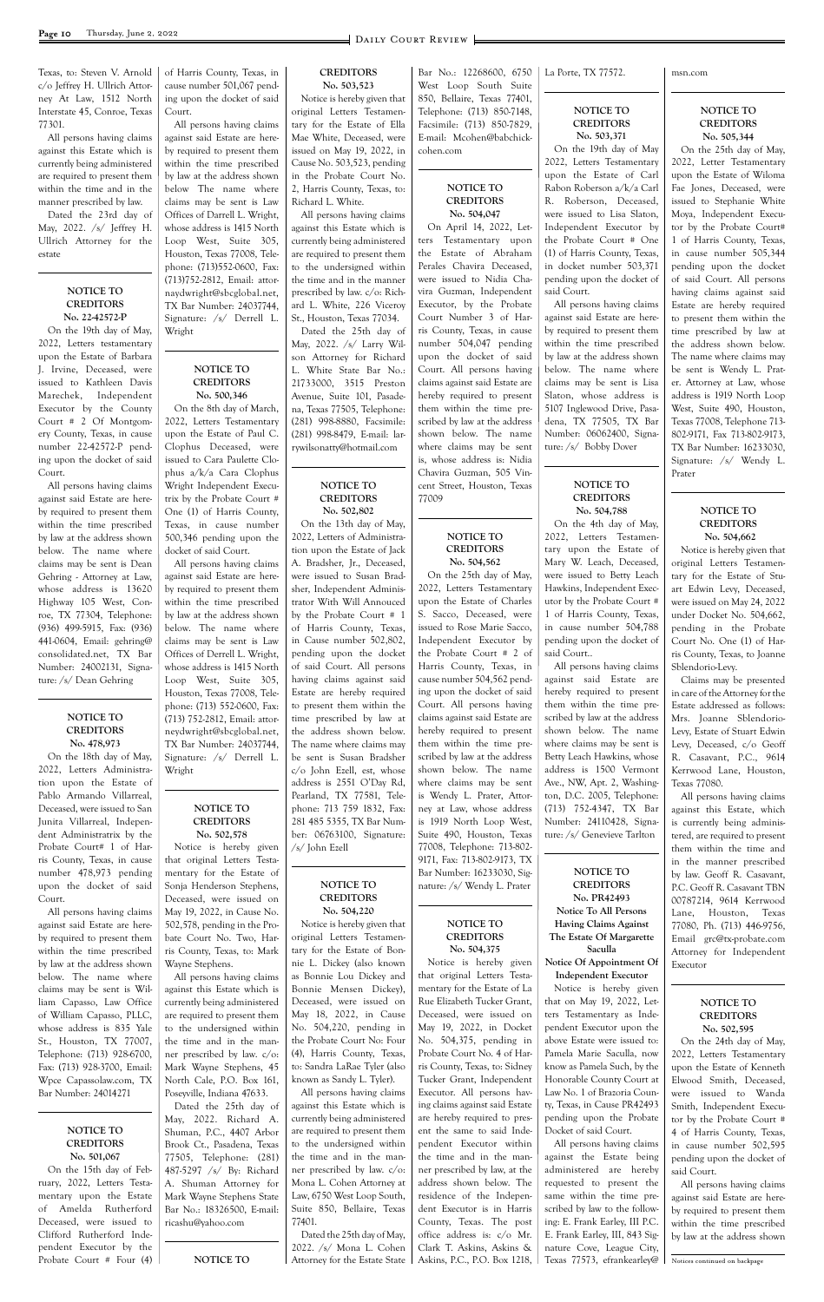Texas, to: Steven V. Arnold c/o Jeffrey H. Ullrich Attorney At Law, 1512 North Interstate 45, Conroe, Texas 77301.

All persons having claims against this Estate which is currently being administered are required to present them within the time and in the manner prescribed by law.

Dated the 23rd day of May, 2022. /s/ Jeffrey H. Ullrich Attorney for the estate

#### **NOTICE TO CREDITORS No. 22-42572-P**

On the 19th day of May, 2022, Letters testamentary upon the Estate of Barbara J. Irvine, Deceased, were issued to Kathleen Davis Marechek, Independent Executor by the County Court # 2 Of Montgomery County, Texas, in cause number 22-42572-P pending upon the docket of said Court.

All persons having claims against said Estate are hereby required to present them within the time prescribed by law at the address shown below. The name where claims may be sent is Dean Gehring - Attorney at Law, whose address is 13620 Highway 105 West, Conroe, TX 77304, Telephone: (936) 499-5915, Fax: (936) 441-0604, Email: gehring@ consolidated.net, TX Bar Number: 24002131, Signature: /s/ Dean Gehring

#### **NOTICE TO CREDITORS No. 478,973**

On the 18th day of May, 2022, Letters Administration upon the Estate of Pablo Armando Villarreal, Deceased, were issued to San Junita Villarreal, Independent Administratrix by the Probate Court# 1 of Harris County, Texas, in cause number 478,973 pending upon the docket of said Court.

All persons having claims against said Estate are hereby required to present them within the time prescribed

by law at the address shown below. The name where claims may be sent is William Capasso, Law Office of William Capasso, PLLC, whose address is 835 Yale St., Houston, TX 77007, Telephone: (713) 928-6700, Fax: (713) 928-3700, Email: Wpce Capassolaw.com, TX Bar Number: 24014271

#### **NOTICE TO CREDITORS No. 501,067** On the 15th day of February, 2022, Letters Testamentary upon the Estate of Amelda Rutherford Deceased, were issued to Clifford Rutherford Independent Executor by the

Probate Court # Four (4)

of Harris County, Texas, in cause number 501,067 pending upon the docket of said Court.

All persons having claims against said Estate are hereby required to present them within the time prescribed by law at the address shown below The name where claims may be sent is Law Offices of Darrell L. Wright, whose address is 1415 North Loop West, Suite 305, Houston, Texas 77008, Telephone: (713)552-0600, Fax: (713)752-2812, Email: attornaydwright@sbcglobal.net, TX Bar Number: 24037744, Signature: /s/ Derrell L. Wright

#### **NOTICE TO CREDITORS No. 500,346**

On the 8th day of March, 2022, Letters Testamentary upon the Estate of Paul C. Clophus Deceased, were issued to Cara Paulette Clophus a/k/a Cara Clophus Wright Independent Executrix by the Probate Court # One (1) of Harris County, Texas, in cause number 500,346 pending upon the docket of said Court.

All persons having claims against said Estate are hereby required to present them within the time prescribed by law at the address shown below. The name where claims may be sent is Law Offices of Derrell L. Wright, whose address is 1415 North Loop West, Suite 305, Houston, Texas 77008, Telephone: (713) 552-0600, Fax: (713) 752-2812, Email: attorneydwright@sbcglobal.net, TX Bar Number: 24037744, Signature: /s/ Derrell L. Wright

#### **NOTICE TO CREDITORS No. 502,578**

Notice is hereby given that original Letters Testamentary for the Estate of Sonja Henderson Stephens, Deceased, were issued on May 19, 2022, in Cause No. 502,578, pending in the Probate Court No. Two, Harris County, Texas, to: Mark

Wayne Stephens.

All persons having claims against this Estate which is currently being administered are required to present them to the undersigned within the time and in the manner prescribed by law. c/o: Mark Wayne Stephens, 45 North Cale, P.O. Box 161, Poseyville, Indiana 47633. Dated the 25th day of May, 2022. Richard A. Shuman, P.C., 4407 Arbor Brook Ct., Pasadena, Texas 77505, Telephone: (281) 487-5297 /s/ By: Richard A. Shuman Attorney for Mark Wayne Stephens State Bar No.: 18326500, E-mail: ricashu@yahoo.com

**NOTICE TO**

#### **CREDITORS No. 503,523**

Notice is hereby given that original Letters Testamentary for the Estate of Ella Mae White, Deceased, were issued on May 19, 2022, in Cause No. 503,523, pending in the Probate Court No. 2, Harris County, Texas, to: Richard L. White.

All persons having claims against this Estate which is currently being administered are required to present them to the undersigned within the time and in the manner prescribed by law. c/o: Richard L. White, 226 Viceroy St., Houston, Texas 77034.

Dated the 25th day of May, 2022. /s/ Larry Wilson Attorney for Richard L. White State Bar No.: 21733000, 3515 Preston Avenue, Suite 101, Pasadena, Texas 77505, Telephone: (281) 998-8880, Facsimile: (281) 998-8479, E-mail: larrywilsonatty@hotmail.com

#### **NOTICE TO CREDITORS No. 502,802**

On the 13th day of May, 2022, Letters of Administration upon the Estate of Jack A. Bradsher, Jr., Deceased, were issued to Susan Bradsher, Independent Administrator With Will Annouced by the Probate Court # 1 of Harris County, Texas, in Cause number 502,802, pending upon the docket of said Court. All persons having claims against said Estate are hereby required to present them within the time prescribed by law at the address shown below. The name where claims may be sent is Susan Bradsher c/o John Ezell, est, whose address is 2551 O'Day Rd, Pearland, TX 77581, Telephone: 713 759 1832, Fax: 281 485 5355, TX Bar Number: 06763100, Signature: /s/ John Ezell

#### **NOTICE TO CREDITORS No. 504,220**

Bar No.: 12268600, 6750 West Loop South Suite 850, Bellaire, Texas 77401, Telephone: (713) 850-7148, Facsimile: (713) 850-7829, E-mail: Mcohen@babchick-

cohen.com

#### **NOTICE TO CREDITORS No. 504,047**

On April 14, 2022, Letters Testamentary upon the Estate of Abraham Perales Chavira Deceased, were issued to Nidia Chavira Guzman, Independent Executor, by the Probate Court Number 3 of Harris County, Texas, in cause number 504,047 pending upon the docket of said Court. All persons having claims against said Estate are hereby required to present them within the time prescribed by law at the address shown below. The name where claims may be sent is, whose address is: Nidia Chavira Guzman, 505 Vincent Street, Houston, Texas 77009

Notice is hereby given that original Letters Testamentary for the Estate of Bonnie L. Dickey (also known as Bonnie Lou Dickey and Bonnie Mensen Dickey), Deceased, were issued on May 18, 2022, in Cause No. 504,220, pending in the Probate Court No: Four (4), Harris County, Texas, to: Sandra LaRae Tyler (also known as Sandy L. Tyler). All persons having claims against this Estate which is currently being administered are required to present them to the undersigned within the time and in the manner prescribed by law. c/o: Mona L. Cohen Attorney at Law, 6750 West Loop South, Suite 850, Bellaire, Texas 77401. Dated the 25th day of May, 2022. /s/ Mona L. Cohen Attorney for the Estate State Askins, P.C., P.O. Box 1218,

## **NOTICE TO CREDITORS No. 504,562**

On the 25th day of May, 2022, Letters Testamentary upon the Estate of Charles S. Sacco, Deceased, were issued to Rose Marie Sacco, Independent Executor by the Probate Court # 2 of Harris County, Texas, in cause number 504,562 pending upon the docket of said Court. All persons having claims against said Estate are hereby required to present them within the time prescribed by law at the address shown below. The name where claims may be sent is Wendy L. Prater, Attorney at Law, whose address is 1919 North Loop West, Suite 490, Houston, Texas 77008, Telephone: 713-802- 9171, Fax: 713-802-9173, TX Bar Number: 16233030, Signature: /s/ Wendy L. Prater

**NOTICE TO CREDITORS No. 504,375** Notice is hereby given that original Letters Testamentary for the Estate of La Rue Elizabeth Tucker Grant, Deceased, were issued on May 19, 2022, in Docket No. 504,375, pending in Probate Court No. 4 of Harris County, Texas, to: Sidney Tucker Grant, Independent Executor. All persons having claims against said Estate are hereby required to present the same to said Independent Executor within the time and in the manner prescribed by law, at the address shown below. The residence of the Independent Executor is in Harris County, Texas. The post office address is: c/o Mr. Clark T. Askins, Askins &

La Porte, TX 77572.

### **NOTICE TO CREDITORS No. 503,371** On the 19th day of May

2022, Letters Testamentary upon the Estate of Carl Rabon Roberson a/k/a Carl R. Roberson, Deceased, were issued to Lisa Slaton, Independent Executor by the Probate Court # One (1) of Harris County, Texas, in docket number 503,371 pending upon the docket of said Court.

All persons having claims against said Estate are hereby required to present them within the time prescribed by law at the address shown below. The name where claims may be sent is Lisa Slaton, whose address is 5107 Inglewood Drive, Pasadena, TX 77505, TX Bar Number: 06062400, Signature: /s/ Bobby Dover

#### **NOTICE TO CREDITORS No. 504,788**

On the 4th day of May, 2022, Letters Testamentary upon the Estate of Mary W. Leach, Deceased, were issued to Betty Leach Hawkins, Independent Executor by the Probate Court # 1 of Harris County, Texas, in cause number 504,788 pending upon the docket of said Court..

All persons having claims against said Estate are hereby required to present them within the time prescribed by law at the address shown below. The name where claims may be sent is Betty Leach Hawkins, whose address is 1500 Vermont Ave., NW, Apt. 2, Washington, D.C. 2005, Telephone: (713) 752-4347, TX Bar Number: 24110428, Signature: /s/ Genevieve Tarlton

## **NOTICE TO CREDITORS No. PR42493**

**Notice To All Persons Having Claims Against The Estate Of Margarette Saculla**

**Notice Of Appointment Of Independent Executor** Notice is hereby given that on May 19, 2022, Letters Testamentary as Independent Executor upon the above Estate were issued to: Pamela Marie Saculla, now know as Pamela Such, by the Honorable County Court at Law No. 1 of Brazoria County, Texas, in Cause PR42493 pending upon the Probate Docket of said Court. All persons having claims against the Estate being administered are hereby requested to present the same within the time prescribed by law to the following: E. Frank Earley, III P.C. E. Frank Earley, III, 843 Sig-

nature Cove, League City, Texas 77573, efrankearley@ msn.com

## **NOTICE TO CREDITORS No. 505,344**

On the 25th day of May, 2022, Letter Testamentary upon the Estate of Wiloma Fae Jones, Deceased, were issued to Stephanie White Moya, Independent Executor by the Probate Court# 1 of Harris County, Texas, in cause number 505,344 pending upon the docket of said Court. All persons having claims against said Estate are hereby required to present them within the time prescribed by law at the address shown below. The name where claims may be sent is Wendy L. Prater. Attorney at Law, whose address is 1919 North Loop West, Suite 490, Houston, Texas 77008, Telephone 713- 802-9171, Fax 713-802-9173, TX Bar Number: 16233030, Signature: /s/ Wendy L. Prater

### **NOTICE TO CREDITORS No. 504,662**

Notice is hereby given that original Letters Testamentary for the Estate of Stuart Edwin Levy, Deceased, were issued on May 24, 2022 under Docket No. 504,662, pending in the Probate Court No. One (1) of Harris County, Texas, to Joanne Sblendorio-Levy.

Claims may be presented in care of the Attorney for the Estate addressed as follows: Mrs. Joanne Sblendorio-Levy, Estate of Stuart Edwin Levy, Deceased, c/o Geoff R. Casavant, P.C., 9614 Kerrwood Lane, Houston, Texas 77080.

All persons having claims against this Estate, which is currently being administered, are required to present them within the time and in the manner prescribed by law. Geoff R. Casavant, P.C. Geoff R. Casavant TBN 00787214, 9614 Kerrwood Lane, Houston, Texas 77080, Ph. (713) 446-9756, Email grc@tx-probate.com Attorney for Independent

Executor

#### **NOTICE TO CREDITORS No. 502,595**

On the 24th day of May, 2022, Letters Testamentary upon the Estate of Kenneth Elwood Smith, Deceased, were issued to Wanda Smith, Independent Executor by the Probate Court # 4 of Harris County, Texas, in cause number 502,595 pending upon the docket of said Court.

All persons having claims against said Estate are hereby required to present them within the time prescribed by law at the address shown

Notices continued on backpage